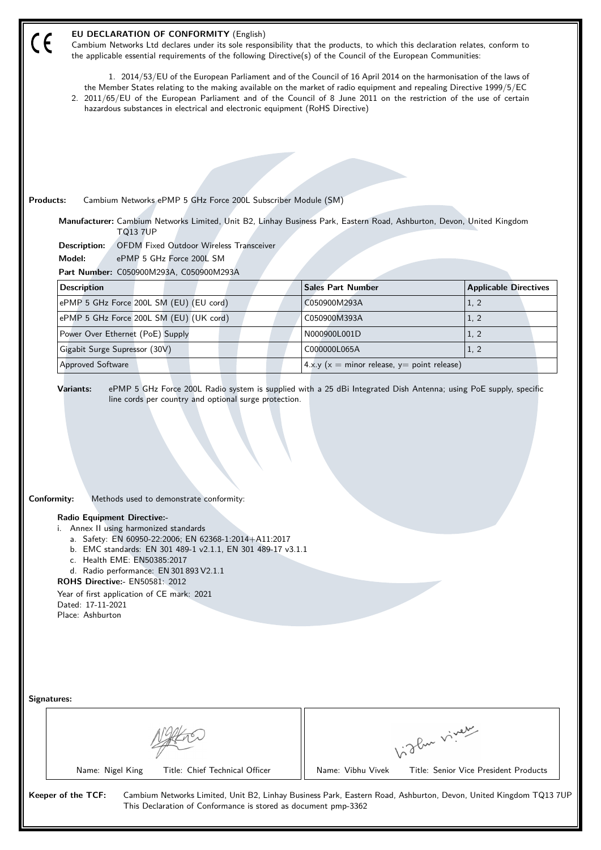| EU DECLARATION OF CONFORMITY (English)<br>Cambium Networks Ltd declares under its sole responsibility that the products, to which this declaration relates, conform to<br>the applicable essential requirements of the following Directive(s) of the Council of the European Communities:                                                                                                                                                                                |                                                                                                                                                                                                                                                                                                                                                                                                                                                  |                                                                                                                 |  |  |  |  |  |
|--------------------------------------------------------------------------------------------------------------------------------------------------------------------------------------------------------------------------------------------------------------------------------------------------------------------------------------------------------------------------------------------------------------------------------------------------------------------------|--------------------------------------------------------------------------------------------------------------------------------------------------------------------------------------------------------------------------------------------------------------------------------------------------------------------------------------------------------------------------------------------------------------------------------------------------|-----------------------------------------------------------------------------------------------------------------|--|--|--|--|--|
|                                                                                                                                                                                                                                                                                                                                                                                                                                                                          | 1. 2014/53/EU of the European Parliament and of the Council of 16 April 2014 on the harmonisation of the laws of<br>the Member States relating to the making available on the market of radio equipment and repealing Directive 1999/5/EC<br>2. 2011/65/EU of the European Parliament and of the Council of 8 June 2011 on the restriction of the use of certain<br>hazardous substances in electrical and electronic equipment (RoHS Directive) |                                                                                                                 |  |  |  |  |  |
|                                                                                                                                                                                                                                                                                                                                                                                                                                                                          |                                                                                                                                                                                                                                                                                                                                                                                                                                                  |                                                                                                                 |  |  |  |  |  |
|                                                                                                                                                                                                                                                                                                                                                                                                                                                                          |                                                                                                                                                                                                                                                                                                                                                                                                                                                  |                                                                                                                 |  |  |  |  |  |
|                                                                                                                                                                                                                                                                                                                                                                                                                                                                          |                                                                                                                                                                                                                                                                                                                                                                                                                                                  |                                                                                                                 |  |  |  |  |  |
|                                                                                                                                                                                                                                                                                                                                                                                                                                                                          |                                                                                                                                                                                                                                                                                                                                                                                                                                                  |                                                                                                                 |  |  |  |  |  |
| <b>Products:</b><br>Cambium Networks ePMP 5 GHz Force 200L Subscriber Module (SM)                                                                                                                                                                                                                                                                                                                                                                                        |                                                                                                                                                                                                                                                                                                                                                                                                                                                  |                                                                                                                 |  |  |  |  |  |
| Manufacturer: Cambium Networks Limited, Unit B2, Linhay Business Park, Eastern Road, Ashburton, Devon, United Kingdom<br><b>TQ13 7UP</b>                                                                                                                                                                                                                                                                                                                                 |                                                                                                                                                                                                                                                                                                                                                                                                                                                  |                                                                                                                 |  |  |  |  |  |
| <b>OFDM Fixed Outdoor Wireless Transceiver</b><br>Description:                                                                                                                                                                                                                                                                                                                                                                                                           |                                                                                                                                                                                                                                                                                                                                                                                                                                                  |                                                                                                                 |  |  |  |  |  |
| ePMP 5 GHz Force 200L SM<br>Model:                                                                                                                                                                                                                                                                                                                                                                                                                                       |                                                                                                                                                                                                                                                                                                                                                                                                                                                  |                                                                                                                 |  |  |  |  |  |
| Part Number: C050900M293A, C050900M293A                                                                                                                                                                                                                                                                                                                                                                                                                                  |                                                                                                                                                                                                                                                                                                                                                                                                                                                  |                                                                                                                 |  |  |  |  |  |
| <b>Description</b>                                                                                                                                                                                                                                                                                                                                                                                                                                                       | <b>Sales Part Number</b>                                                                                                                                                                                                                                                                                                                                                                                                                         | <b>Applicable Directives</b>                                                                                    |  |  |  |  |  |
| ePMP 5 GHz Force 200L SM (EU) (EU cord)                                                                                                                                                                                                                                                                                                                                                                                                                                  | C050900M293A                                                                                                                                                                                                                                                                                                                                                                                                                                     | 1, 2                                                                                                            |  |  |  |  |  |
| ePMP 5 GHz Force 200L SM (EU) (UK cord)                                                                                                                                                                                                                                                                                                                                                                                                                                  | C050900M393A                                                                                                                                                                                                                                                                                                                                                                                                                                     | 1, 2                                                                                                            |  |  |  |  |  |
| Power Over Ethernet (PoE) Supply                                                                                                                                                                                                                                                                                                                                                                                                                                         | N000900L001D                                                                                                                                                                                                                                                                                                                                                                                                                                     | 1, 2                                                                                                            |  |  |  |  |  |
| Gigabit Surge Supressor (30V)                                                                                                                                                                                                                                                                                                                                                                                                                                            | C000000L065A                                                                                                                                                                                                                                                                                                                                                                                                                                     | 1, 2                                                                                                            |  |  |  |  |  |
| <b>Approved Software</b>                                                                                                                                                                                                                                                                                                                                                                                                                                                 | 4.x.y ( $x =$ minor release, $y =$ point release)                                                                                                                                                                                                                                                                                                                                                                                                |                                                                                                                 |  |  |  |  |  |
| Conformity:<br>Methods used to demonstrate conformity:<br><b>Radio Equipment Directive:-</b><br>i. Annex II using harmonized standards<br>a. Safety: EN 60950-22:2006; EN 62368-1:2014+A11:2017<br>b. EMC standards: EN 301 489-1 v2.1.1, EN 301 489-17 v3.1.1<br>c. Health EME: EN50385:2017<br>d. Radio performance: EN 301 893 V2.1.1<br><b>ROHS Directive:- EN50581: 2012</b><br>Year of first application of CE mark: 2021<br>Dated: 17-11-2021<br>Place: Ashburton |                                                                                                                                                                                                                                                                                                                                                                                                                                                  |                                                                                                                 |  |  |  |  |  |
| <b>Signatures:</b><br>Name: Nigel King<br>Title: Chief Technical Officer                                                                                                                                                                                                                                                                                                                                                                                                 | Name: Vibhu Vivek                                                                                                                                                                                                                                                                                                                                                                                                                                | biglan viney<br>Title: Senior Vice President Products                                                           |  |  |  |  |  |
|                                                                                                                                                                                                                                                                                                                                                                                                                                                                          |                                                                                                                                                                                                                                                                                                                                                                                                                                                  |                                                                                                                 |  |  |  |  |  |
| Keeper of the TCF:<br>This Declaration of Conformance is stored as document pmp-3362                                                                                                                                                                                                                                                                                                                                                                                     |                                                                                                                                                                                                                                                                                                                                                                                                                                                  | Cambium Networks Limited, Unit B2, Linhay Business Park, Eastern Road, Ashburton, Devon, United Kingdom TQ137UP |  |  |  |  |  |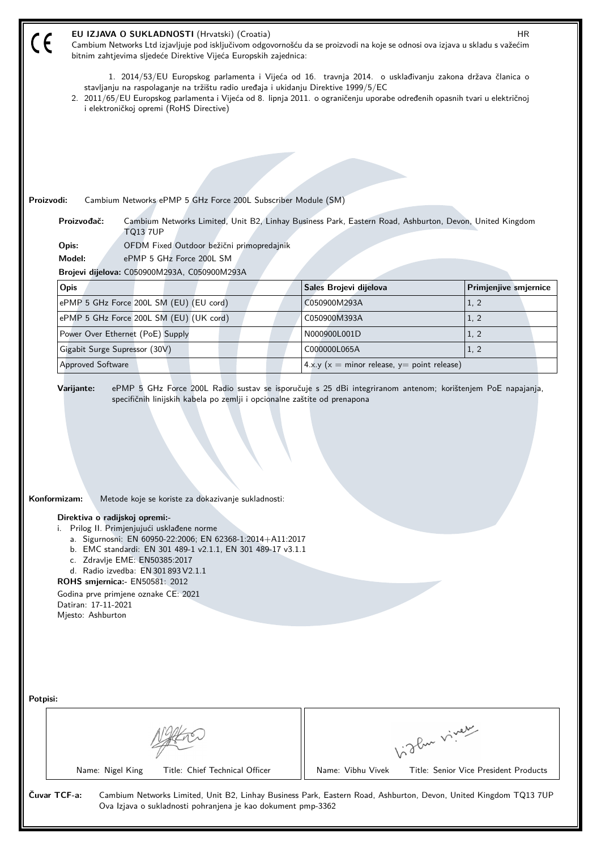| EU IZJAVA O SUKLADNOSTI (Hrvatski) (Croatia)<br>HR.<br>Cambium Networks Ltd izjavljuje pod isključivom odgovornošću da se proizvodi na koje se odnosi ova izjava u skladu s važećim<br>bitnim zahtjevima sljedeće Direktive Vijeća Europskih zajednica:                                                                                                                                                                                                                         |                                                   |                       |  |  |  |  |
|---------------------------------------------------------------------------------------------------------------------------------------------------------------------------------------------------------------------------------------------------------------------------------------------------------------------------------------------------------------------------------------------------------------------------------------------------------------------------------|---------------------------------------------------|-----------------------|--|--|--|--|
| 1. 2014/53/EU Europskog parlamenta i Vijeća od 16. travnja 2014. o usklađivanju zakona država članica o<br>stavljanju na raspolaganje na tržištu radio uređaja i ukidanju Direktive 1999/5/EC<br>2. 2011/65/EU Europskog parlamenta i Vijeća od 8. lipnja 2011. o ograničenju uporabe određenih opasnih tvari u električnoj                                                                                                                                                     |                                                   |                       |  |  |  |  |
| i elektroničkoj opremi (RoHS Directive)                                                                                                                                                                                                                                                                                                                                                                                                                                         |                                                   |                       |  |  |  |  |
|                                                                                                                                                                                                                                                                                                                                                                                                                                                                                 |                                                   |                       |  |  |  |  |
|                                                                                                                                                                                                                                                                                                                                                                                                                                                                                 |                                                   |                       |  |  |  |  |
|                                                                                                                                                                                                                                                                                                                                                                                                                                                                                 |                                                   |                       |  |  |  |  |
|                                                                                                                                                                                                                                                                                                                                                                                                                                                                                 |                                                   |                       |  |  |  |  |
| Proizvodi:<br>Cambium Networks ePMP 5 GHz Force 200L Subscriber Module (SM)                                                                                                                                                                                                                                                                                                                                                                                                     |                                                   |                       |  |  |  |  |
| Proizvođač:<br>Cambium Networks Limited, Unit B2, Linhay Business Park, Eastern Road, Ashburton, Devon, United Kingdom<br><b>TQ13 7UP</b>                                                                                                                                                                                                                                                                                                                                       |                                                   |                       |  |  |  |  |
| OFDM Fixed Outdoor bežični primopredajnik<br>Opis:                                                                                                                                                                                                                                                                                                                                                                                                                              |                                                   |                       |  |  |  |  |
| Model:<br>ePMP 5 GHz Force 200L SM                                                                                                                                                                                                                                                                                                                                                                                                                                              |                                                   |                       |  |  |  |  |
| Brojevi dijelova: C050900M293A, C050900M293A<br>Opis                                                                                                                                                                                                                                                                                                                                                                                                                            |                                                   | Primjenjive smjernice |  |  |  |  |
| ePMP 5 GHz Force 200L SM (EU) (EU cord)                                                                                                                                                                                                                                                                                                                                                                                                                                         | Sales Brojevi dijelova<br>C050900M293A            | 1, 2                  |  |  |  |  |
| ePMP 5 GHz Force 200L SM (EU) (UK cord)                                                                                                                                                                                                                                                                                                                                                                                                                                         | C050900M393A                                      | 1, 2                  |  |  |  |  |
| Power Over Ethernet (PoE) Supply                                                                                                                                                                                                                                                                                                                                                                                                                                                | N000900L001D                                      | 1, 2                  |  |  |  |  |
| Gigabit Surge Supressor (30V)                                                                                                                                                                                                                                                                                                                                                                                                                                                   | C000000L065A                                      | 1, 2                  |  |  |  |  |
| <b>Approved Software</b>                                                                                                                                                                                                                                                                                                                                                                                                                                                        | 4.x.y ( $x =$ minor release, $y =$ point release) |                       |  |  |  |  |
| Konformizam:<br>Metode koje se koriste za dokazivanje sukladnosti:<br>Direktiva o radijskoj opremi:-<br>Prilog II. Primjenjujući usklađene norme<br>i.<br>a. Sigurnosni: EN 60950-22:2006; EN 62368-1:2014+A11:2017<br>b. EMC standardi: EN 301 489-1 v2.1.1, EN 301 489-17 v3.1.1<br>c. Zdravlje EME: EN50385:2017<br>d. Radio izvedba: EN 301 893 V2.1.1<br>ROHS smjernica: EN50581: 2012<br>Godina prve primjene oznake CE: 2021<br>Datiran: 17-11-2021<br>Mjesto: Ashburton |                                                   |                       |  |  |  |  |
| Potpisi:<br>light vivey<br>Title: Chief Technical Officer<br>Name: Vibhu Vivek<br>Name: Nigel King<br>Title: Senior Vice President Products                                                                                                                                                                                                                                                                                                                                     |                                                   |                       |  |  |  |  |
| Čuvar TCF-a:<br>Cambium Networks Limited, Unit B2, Linhay Business Park, Eastern Road, Ashburton, Devon, United Kingdom TQ13 7UP<br>Ova Izjava o sukladnosti pohranjena je kao dokument pmp-3362                                                                                                                                                                                                                                                                                |                                                   |                       |  |  |  |  |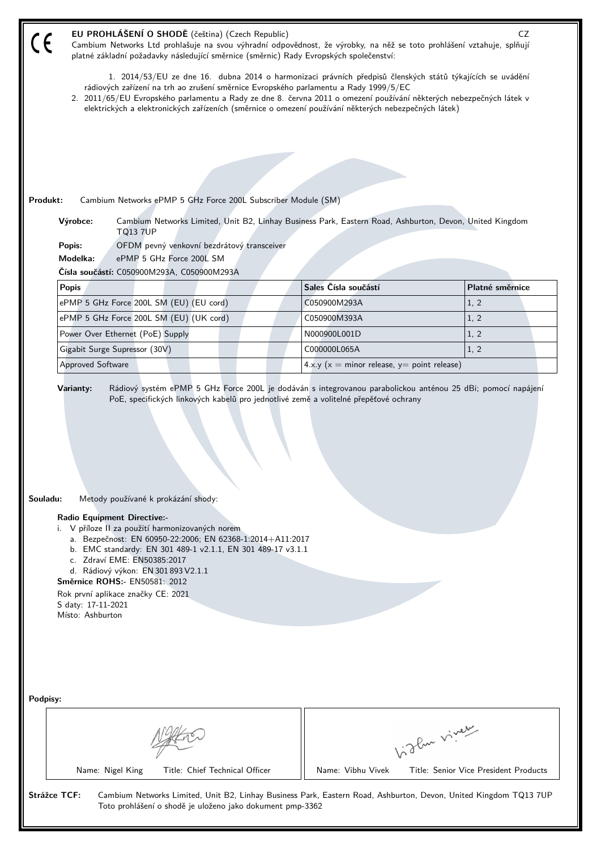| 1. 2014/53/EU ze dne 16. dubna 2014 o harmonizaci právních předpisů členských států týkajících se uvádění<br>rádiových zařízení na trh ao zrušení směrnice Evropského parlamentu a Rady 1999/5/EC<br>2. 2011/65/EU Evropského parlamentu a Rady ze dne 8. června 2011 o omezení používání některých nebezpečných látek v<br>elektrických a elektronických zařízeních (směrnice o omezení používání některých nebezpečných látek)<br>Cambium Networks ePMP 5 GHz Force 200L Subscriber Module (SM)<br>Výrobce:<br>Cambium Networks Limited, Unit B2, Linhay Business Park, Eastern Road, Ashburton, Devon, United Kingdom<br><b>TQ13 7UP</b><br>Popis:<br>OFDM pevný venkovní bezdrátový transceiver<br>Modelka:<br>ePMP 5 GHz Force 200L SM<br>Čísla součástí: C050900M293A, C050900M293A<br>Sales Čísla součástí<br>Platné směrnice<br><b>Popis</b><br>ePMP 5 GHz Force 200L SM (EU) (EU cord)<br>C050900M293A<br>1, 2<br>ePMP 5 GHz Force 200L SM (EU) (UK cord)<br>C050900M393A<br>1, 2<br>Power Over Ethernet (PoE) Supply<br>1, 2<br>N000900L001D<br>1, 2<br>Gigabit Surge Supressor (30V)<br>C000000L065A<br>4.x.y ( $x =$ minor release, $y =$ point release)<br>Approved Software<br>Rádiový systém ePMP 5 GHz Force 200L je dodáván s integrovanou parabolickou anténou 25 dBi; pomocí napájení<br>Varianty:<br>PoE, specifických linkových kabelů pro jednotlivé země a volitelné přepěťové ochrany<br>Souladu:<br>Metody používané k prokázání shody:<br><b>Radio Equipment Directive:-</b><br>i. V příloze II za použití harmonizovaných norem<br>a. Bezpečnost: EN 60950-22:2006; EN 62368-1:2014+A11:2017<br>b. EMC standardy: EN 301 489-1 v2.1.1, EN 301 489-17 v3.1.1<br>c. Zdraví EME: EN50385:2017<br>d. Rádiový výkon: EN 301 893 V2.1.1<br>Směrnice ROHS:- EN50581: 2012<br>Rok první aplikace značky CE: 2021<br>S daty: 17-11-2021<br>Místo: Ashburton<br>birthe vivey<br>Title: Chief Technical Officer<br>Name: Vibhu Vivek<br>Name: Nigel King<br>Title: Senior Vice President Products<br><b>Strážce TCF:</b><br>Cambium Networks Limited, Unit B2, Linhay Business Park, Eastern Road, Ashburton, Devon, United Kingdom TQ13 7UP |          | EU PROHLÁŠENÍ O SHODĚ (čeština) (Czech Republic)<br>Cambium Networks Ltd prohlašuje na svou výhradní odpovědnost, že výrobky, na něž se toto prohlášení vztahuje, splňují<br>platné základní požadavky následující směrnice (směrnic) Rady Evropských společenství: | CZ |
|--------------------------------------------------------------------------------------------------------------------------------------------------------------------------------------------------------------------------------------------------------------------------------------------------------------------------------------------------------------------------------------------------------------------------------------------------------------------------------------------------------------------------------------------------------------------------------------------------------------------------------------------------------------------------------------------------------------------------------------------------------------------------------------------------------------------------------------------------------------------------------------------------------------------------------------------------------------------------------------------------------------------------------------------------------------------------------------------------------------------------------------------------------------------------------------------------------------------------------------------------------------------------------------------------------------------------------------------------------------------------------------------------------------------------------------------------------------------------------------------------------------------------------------------------------------------------------------------------------------------------------------------------------------------------------------------------------------------------------------------------------------------------------------------------------------------------------------------------------------------------------------------------------------------------------------------------------------------------------------------------------------------------------------------------------------------------------------------------------------------------------------------------------------|----------|---------------------------------------------------------------------------------------------------------------------------------------------------------------------------------------------------------------------------------------------------------------------|----|
|                                                                                                                                                                                                                                                                                                                                                                                                                                                                                                                                                                                                                                                                                                                                                                                                                                                                                                                                                                                                                                                                                                                                                                                                                                                                                                                                                                                                                                                                                                                                                                                                                                                                                                                                                                                                                                                                                                                                                                                                                                                                                                                                                              |          |                                                                                                                                                                                                                                                                     |    |
|                                                                                                                                                                                                                                                                                                                                                                                                                                                                                                                                                                                                                                                                                                                                                                                                                                                                                                                                                                                                                                                                                                                                                                                                                                                                                                                                                                                                                                                                                                                                                                                                                                                                                                                                                                                                                                                                                                                                                                                                                                                                                                                                                              |          |                                                                                                                                                                                                                                                                     |    |
|                                                                                                                                                                                                                                                                                                                                                                                                                                                                                                                                                                                                                                                                                                                                                                                                                                                                                                                                                                                                                                                                                                                                                                                                                                                                                                                                                                                                                                                                                                                                                                                                                                                                                                                                                                                                                                                                                                                                                                                                                                                                                                                                                              |          |                                                                                                                                                                                                                                                                     |    |
|                                                                                                                                                                                                                                                                                                                                                                                                                                                                                                                                                                                                                                                                                                                                                                                                                                                                                                                                                                                                                                                                                                                                                                                                                                                                                                                                                                                                                                                                                                                                                                                                                                                                                                                                                                                                                                                                                                                                                                                                                                                                                                                                                              |          |                                                                                                                                                                                                                                                                     |    |
|                                                                                                                                                                                                                                                                                                                                                                                                                                                                                                                                                                                                                                                                                                                                                                                                                                                                                                                                                                                                                                                                                                                                                                                                                                                                                                                                                                                                                                                                                                                                                                                                                                                                                                                                                                                                                                                                                                                                                                                                                                                                                                                                                              |          |                                                                                                                                                                                                                                                                     |    |
|                                                                                                                                                                                                                                                                                                                                                                                                                                                                                                                                                                                                                                                                                                                                                                                                                                                                                                                                                                                                                                                                                                                                                                                                                                                                                                                                                                                                                                                                                                                                                                                                                                                                                                                                                                                                                                                                                                                                                                                                                                                                                                                                                              |          |                                                                                                                                                                                                                                                                     |    |
|                                                                                                                                                                                                                                                                                                                                                                                                                                                                                                                                                                                                                                                                                                                                                                                                                                                                                                                                                                                                                                                                                                                                                                                                                                                                                                                                                                                                                                                                                                                                                                                                                                                                                                                                                                                                                                                                                                                                                                                                                                                                                                                                                              | Produkt: |                                                                                                                                                                                                                                                                     |    |
|                                                                                                                                                                                                                                                                                                                                                                                                                                                                                                                                                                                                                                                                                                                                                                                                                                                                                                                                                                                                                                                                                                                                                                                                                                                                                                                                                                                                                                                                                                                                                                                                                                                                                                                                                                                                                                                                                                                                                                                                                                                                                                                                                              |          |                                                                                                                                                                                                                                                                     |    |
|                                                                                                                                                                                                                                                                                                                                                                                                                                                                                                                                                                                                                                                                                                                                                                                                                                                                                                                                                                                                                                                                                                                                                                                                                                                                                                                                                                                                                                                                                                                                                                                                                                                                                                                                                                                                                                                                                                                                                                                                                                                                                                                                                              |          |                                                                                                                                                                                                                                                                     |    |
|                                                                                                                                                                                                                                                                                                                                                                                                                                                                                                                                                                                                                                                                                                                                                                                                                                                                                                                                                                                                                                                                                                                                                                                                                                                                                                                                                                                                                                                                                                                                                                                                                                                                                                                                                                                                                                                                                                                                                                                                                                                                                                                                                              |          |                                                                                                                                                                                                                                                                     |    |
|                                                                                                                                                                                                                                                                                                                                                                                                                                                                                                                                                                                                                                                                                                                                                                                                                                                                                                                                                                                                                                                                                                                                                                                                                                                                                                                                                                                                                                                                                                                                                                                                                                                                                                                                                                                                                                                                                                                                                                                                                                                                                                                                                              |          |                                                                                                                                                                                                                                                                     |    |
|                                                                                                                                                                                                                                                                                                                                                                                                                                                                                                                                                                                                                                                                                                                                                                                                                                                                                                                                                                                                                                                                                                                                                                                                                                                                                                                                                                                                                                                                                                                                                                                                                                                                                                                                                                                                                                                                                                                                                                                                                                                                                                                                                              |          |                                                                                                                                                                                                                                                                     |    |
|                                                                                                                                                                                                                                                                                                                                                                                                                                                                                                                                                                                                                                                                                                                                                                                                                                                                                                                                                                                                                                                                                                                                                                                                                                                                                                                                                                                                                                                                                                                                                                                                                                                                                                                                                                                                                                                                                                                                                                                                                                                                                                                                                              |          |                                                                                                                                                                                                                                                                     |    |
|                                                                                                                                                                                                                                                                                                                                                                                                                                                                                                                                                                                                                                                                                                                                                                                                                                                                                                                                                                                                                                                                                                                                                                                                                                                                                                                                                                                                                                                                                                                                                                                                                                                                                                                                                                                                                                                                                                                                                                                                                                                                                                                                                              |          |                                                                                                                                                                                                                                                                     |    |
|                                                                                                                                                                                                                                                                                                                                                                                                                                                                                                                                                                                                                                                                                                                                                                                                                                                                                                                                                                                                                                                                                                                                                                                                                                                                                                                                                                                                                                                                                                                                                                                                                                                                                                                                                                                                                                                                                                                                                                                                                                                                                                                                                              |          |                                                                                                                                                                                                                                                                     |    |
|                                                                                                                                                                                                                                                                                                                                                                                                                                                                                                                                                                                                                                                                                                                                                                                                                                                                                                                                                                                                                                                                                                                                                                                                                                                                                                                                                                                                                                                                                                                                                                                                                                                                                                                                                                                                                                                                                                                                                                                                                                                                                                                                                              |          |                                                                                                                                                                                                                                                                     |    |
|                                                                                                                                                                                                                                                                                                                                                                                                                                                                                                                                                                                                                                                                                                                                                                                                                                                                                                                                                                                                                                                                                                                                                                                                                                                                                                                                                                                                                                                                                                                                                                                                                                                                                                                                                                                                                                                                                                                                                                                                                                                                                                                                                              |          |                                                                                                                                                                                                                                                                     |    |
|                                                                                                                                                                                                                                                                                                                                                                                                                                                                                                                                                                                                                                                                                                                                                                                                                                                                                                                                                                                                                                                                                                                                                                                                                                                                                                                                                                                                                                                                                                                                                                                                                                                                                                                                                                                                                                                                                                                                                                                                                                                                                                                                                              |          |                                                                                                                                                                                                                                                                     |    |
|                                                                                                                                                                                                                                                                                                                                                                                                                                                                                                                                                                                                                                                                                                                                                                                                                                                                                                                                                                                                                                                                                                                                                                                                                                                                                                                                                                                                                                                                                                                                                                                                                                                                                                                                                                                                                                                                                                                                                                                                                                                                                                                                                              |          |                                                                                                                                                                                                                                                                     |    |
|                                                                                                                                                                                                                                                                                                                                                                                                                                                                                                                                                                                                                                                                                                                                                                                                                                                                                                                                                                                                                                                                                                                                                                                                                                                                                                                                                                                                                                                                                                                                                                                                                                                                                                                                                                                                                                                                                                                                                                                                                                                                                                                                                              |          |                                                                                                                                                                                                                                                                     |    |
|                                                                                                                                                                                                                                                                                                                                                                                                                                                                                                                                                                                                                                                                                                                                                                                                                                                                                                                                                                                                                                                                                                                                                                                                                                                                                                                                                                                                                                                                                                                                                                                                                                                                                                                                                                                                                                                                                                                                                                                                                                                                                                                                                              |          |                                                                                                                                                                                                                                                                     |    |
|                                                                                                                                                                                                                                                                                                                                                                                                                                                                                                                                                                                                                                                                                                                                                                                                                                                                                                                                                                                                                                                                                                                                                                                                                                                                                                                                                                                                                                                                                                                                                                                                                                                                                                                                                                                                                                                                                                                                                                                                                                                                                                                                                              |          |                                                                                                                                                                                                                                                                     |    |
|                                                                                                                                                                                                                                                                                                                                                                                                                                                                                                                                                                                                                                                                                                                                                                                                                                                                                                                                                                                                                                                                                                                                                                                                                                                                                                                                                                                                                                                                                                                                                                                                                                                                                                                                                                                                                                                                                                                                                                                                                                                                                                                                                              |          |                                                                                                                                                                                                                                                                     |    |
|                                                                                                                                                                                                                                                                                                                                                                                                                                                                                                                                                                                                                                                                                                                                                                                                                                                                                                                                                                                                                                                                                                                                                                                                                                                                                                                                                                                                                                                                                                                                                                                                                                                                                                                                                                                                                                                                                                                                                                                                                                                                                                                                                              |          |                                                                                                                                                                                                                                                                     |    |
|                                                                                                                                                                                                                                                                                                                                                                                                                                                                                                                                                                                                                                                                                                                                                                                                                                                                                                                                                                                                                                                                                                                                                                                                                                                                                                                                                                                                                                                                                                                                                                                                                                                                                                                                                                                                                                                                                                                                                                                                                                                                                                                                                              |          |                                                                                                                                                                                                                                                                     |    |
|                                                                                                                                                                                                                                                                                                                                                                                                                                                                                                                                                                                                                                                                                                                                                                                                                                                                                                                                                                                                                                                                                                                                                                                                                                                                                                                                                                                                                                                                                                                                                                                                                                                                                                                                                                                                                                                                                                                                                                                                                                                                                                                                                              |          |                                                                                                                                                                                                                                                                     |    |
|                                                                                                                                                                                                                                                                                                                                                                                                                                                                                                                                                                                                                                                                                                                                                                                                                                                                                                                                                                                                                                                                                                                                                                                                                                                                                                                                                                                                                                                                                                                                                                                                                                                                                                                                                                                                                                                                                                                                                                                                                                                                                                                                                              | Podpisy: |                                                                                                                                                                                                                                                                     |    |
|                                                                                                                                                                                                                                                                                                                                                                                                                                                                                                                                                                                                                                                                                                                                                                                                                                                                                                                                                                                                                                                                                                                                                                                                                                                                                                                                                                                                                                                                                                                                                                                                                                                                                                                                                                                                                                                                                                                                                                                                                                                                                                                                                              |          |                                                                                                                                                                                                                                                                     |    |
|                                                                                                                                                                                                                                                                                                                                                                                                                                                                                                                                                                                                                                                                                                                                                                                                                                                                                                                                                                                                                                                                                                                                                                                                                                                                                                                                                                                                                                                                                                                                                                                                                                                                                                                                                                                                                                                                                                                                                                                                                                                                                                                                                              |          |                                                                                                                                                                                                                                                                     |    |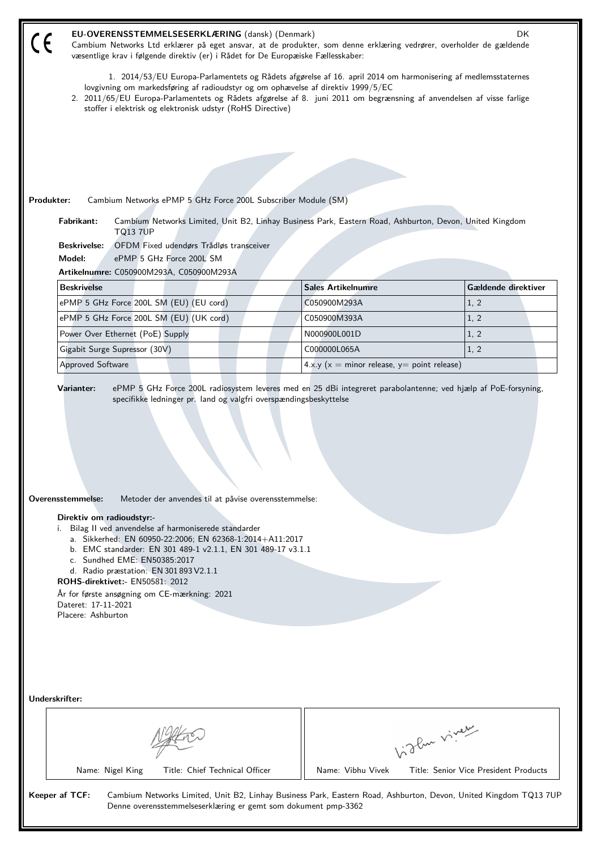| EU-OVERENSSTEMMELSESERKLÆRING (dansk) (Denmark)<br>DK<br>Cambium Networks Ltd erklærer på eget ansvar, at de produkter, som denne erklæring vedrører, overholder de gældende<br>væsentlige krav i følgende direktiv (er) i Rådet for De Europæiske Fællesskaber:                                                                                                                       |                                                   |                                       |  |  |  |  |  |
|----------------------------------------------------------------------------------------------------------------------------------------------------------------------------------------------------------------------------------------------------------------------------------------------------------------------------------------------------------------------------------------|---------------------------------------------------|---------------------------------------|--|--|--|--|--|
| 1. 2014/53/EU Europa-Parlamentets og Rådets afgørelse af 16. april 2014 om harmonisering af medlemsstaternes<br>lovgivning om markedsføring af radioudstyr og om ophævelse af direktiv 1999/5/EC<br>2. 2011/65/EU Europa-Parlamentets og Rådets afgørelse af 8. juni 2011 om begrænsning af anvendelsen af visse farlige<br>stoffer i elektrisk og elektronisk udstyr (RoHS Directive) |                                                   |                                       |  |  |  |  |  |
|                                                                                                                                                                                                                                                                                                                                                                                        |                                                   |                                       |  |  |  |  |  |
|                                                                                                                                                                                                                                                                                                                                                                                        |                                                   |                                       |  |  |  |  |  |
|                                                                                                                                                                                                                                                                                                                                                                                        |                                                   |                                       |  |  |  |  |  |
|                                                                                                                                                                                                                                                                                                                                                                                        |                                                   |                                       |  |  |  |  |  |
| Produkter:<br>Cambium Networks ePMP 5 GHz Force 200L Subscriber Module (SM)<br>Fabrikant:<br>Cambium Networks Limited, Unit B2, Linhay Business Park, Eastern Road, Ashburton, Devon, United Kingdom                                                                                                                                                                                   |                                                   |                                       |  |  |  |  |  |
| <b>TQ13 7UP</b><br>OFDM Fixed udendørs Trådløs transceiver<br><b>Beskrivelse:</b>                                                                                                                                                                                                                                                                                                      |                                                   |                                       |  |  |  |  |  |
| Model:<br>ePMP 5 GHz Force 200L SM                                                                                                                                                                                                                                                                                                                                                     |                                                   |                                       |  |  |  |  |  |
| Artikelnumre: C050900M293A, C050900M293A                                                                                                                                                                                                                                                                                                                                               |                                                   |                                       |  |  |  |  |  |
| <b>Beskrivelse</b>                                                                                                                                                                                                                                                                                                                                                                     | <b>Sales Artikelnumre</b>                         | Gældende direktiver                   |  |  |  |  |  |
| ePMP 5 GHz Force 200L SM (EU) (EU cord)                                                                                                                                                                                                                                                                                                                                                | C050900M293A                                      | 1, 2                                  |  |  |  |  |  |
| ePMP 5 GHz Force 200L SM (EU) (UK cord)                                                                                                                                                                                                                                                                                                                                                | C050900M393A                                      | 1, 2                                  |  |  |  |  |  |
| Power Over Ethernet (PoE) Supply                                                                                                                                                                                                                                                                                                                                                       | N000900L001D                                      | 1, 2                                  |  |  |  |  |  |
| Gigabit Surge Supressor (30V)                                                                                                                                                                                                                                                                                                                                                          | C000000L065A                                      | 1, 2                                  |  |  |  |  |  |
| <b>Approved Software</b>                                                                                                                                                                                                                                                                                                                                                               | 4.x.y ( $x =$ minor release, $y =$ point release) |                                       |  |  |  |  |  |
| Overensstemmelse:<br>Metoder der anvendes til at påvise overensstemmelse:<br>Direktiv om radioudstyr:-<br>i. Bilag II ved anvendelse af harmoniserede standarder<br>a. Sikkerhed: EN 60950-22:2006; EN 62368-1:2014+A11:2017<br>b. EMC standarder: EN 301 489-1 v2.1.1, EN 301 489-17 v3.1.1                                                                                           |                                                   |                                       |  |  |  |  |  |
| c. Sundhed EME: EN50385:2017<br>d. Radio præstation: EN 301 893 V2.1.1<br><b>ROHS-direktivet:- EN50581: 2012</b>                                                                                                                                                                                                                                                                       |                                                   |                                       |  |  |  |  |  |
| År for første ansøgning om CE-mærkning: 2021<br>Dateret: 17-11-2021<br>Placere: Ashburton                                                                                                                                                                                                                                                                                              |                                                   |                                       |  |  |  |  |  |
|                                                                                                                                                                                                                                                                                                                                                                                        |                                                   |                                       |  |  |  |  |  |
|                                                                                                                                                                                                                                                                                                                                                                                        |                                                   |                                       |  |  |  |  |  |
| Underskrifter:                                                                                                                                                                                                                                                                                                                                                                         |                                                   |                                       |  |  |  |  |  |
|                                                                                                                                                                                                                                                                                                                                                                                        |                                                   | Light virey                           |  |  |  |  |  |
| Name: Nigel King<br>Title: Chief Technical Officer                                                                                                                                                                                                                                                                                                                                     | Name: Vibhu Vivek                                 | Title: Senior Vice President Products |  |  |  |  |  |
| Keeper af TCF:<br>Cambium Networks Limited, Unit B2, Linhay Business Park, Eastern Road, Ashburton, Devon, United Kingdom TQ13 7UP<br>Denne overensstemmelseserklæring er gemt som dokument pmp-3362                                                                                                                                                                                   |                                                   |                                       |  |  |  |  |  |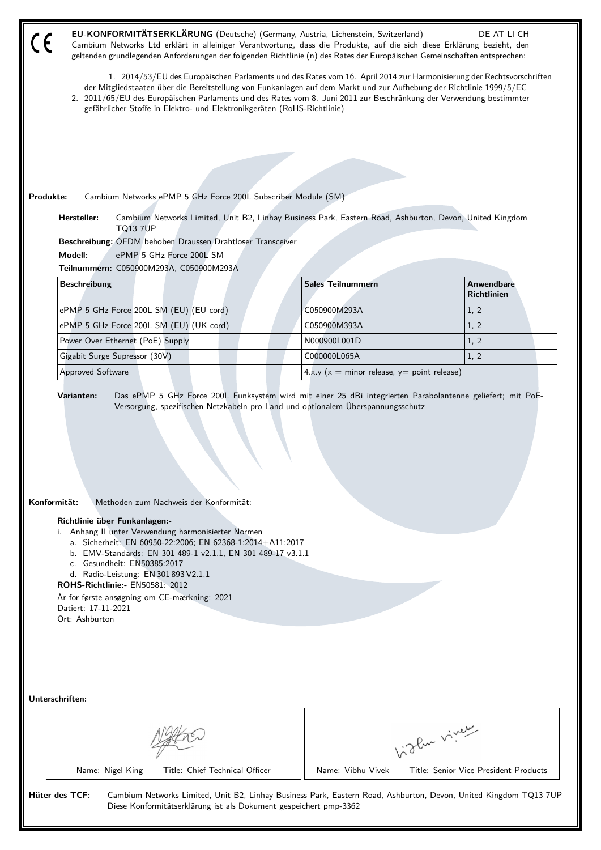| EU-KONFORMITÄTSERKLÄRUNG (Deutsche) (Germany, Austria, Lichenstein, Switzerland)<br>DE AT LI CH<br>Cambium Networks Ltd erklärt in alleiniger Verantwortung, dass die Produkte, auf die sich diese Erklärung bezieht, den<br>geltenden grundlegenden Anforderungen der folgenden Richtlinie (n) des Rates der Europäischen Gemeinschaften entsprechen:                                                                                         |                                      |                                                                                                                                                                    |  |                                                                                                         |             |                                                                                                                  |  |
|------------------------------------------------------------------------------------------------------------------------------------------------------------------------------------------------------------------------------------------------------------------------------------------------------------------------------------------------------------------------------------------------------------------------------------------------|--------------------------------------|--------------------------------------------------------------------------------------------------------------------------------------------------------------------|--|---------------------------------------------------------------------------------------------------------|-------------|------------------------------------------------------------------------------------------------------------------|--|
| 1. 2014/53/EU des Europäischen Parlaments und des Rates vom 16. April 2014 zur Harmonisierung der Rechtsvorschriften<br>der Mitgliedstaaten über die Bereitstellung von Funkanlagen auf dem Markt und zur Aufhebung der Richtlinie 1999/5/EC<br>2. 2011/65/EU des Europäischen Parlaments und des Rates vom 8. Juni 2011 zur Beschränkung der Verwendung bestimmter<br>gefährlicher Stoffe in Elektro- und Elektronikgeräten (RoHS-Richtlinie) |                                      |                                                                                                                                                                    |  |                                                                                                         |             |                                                                                                                  |  |
|                                                                                                                                                                                                                                                                                                                                                                                                                                                |                                      |                                                                                                                                                                    |  |                                                                                                         |             |                                                                                                                  |  |
|                                                                                                                                                                                                                                                                                                                                                                                                                                                |                                      |                                                                                                                                                                    |  |                                                                                                         |             |                                                                                                                  |  |
|                                                                                                                                                                                                                                                                                                                                                                                                                                                |                                      |                                                                                                                                                                    |  |                                                                                                         |             |                                                                                                                  |  |
| Produkte:                                                                                                                                                                                                                                                                                                                                                                                                                                      |                                      | Cambium Networks ePMP 5 GHz Force 200L Subscriber Module (SM)                                                                                                      |  |                                                                                                         |             |                                                                                                                  |  |
| Hersteller:                                                                                                                                                                                                                                                                                                                                                                                                                                    | <b>TQ13 7UP</b>                      |                                                                                                                                                                    |  | Cambium Networks Limited, Unit B2, Linhay Business Park, Eastern Road, Ashburton, Devon, United Kingdom |             |                                                                                                                  |  |
| Beschreibung: OFDM behoben Draussen Drahtloser Transceiver                                                                                                                                                                                                                                                                                                                                                                                     |                                      |                                                                                                                                                                    |  |                                                                                                         |             |                                                                                                                  |  |
| Modell:                                                                                                                                                                                                                                                                                                                                                                                                                                        | ePMP 5 GHz Force 200L SM             |                                                                                                                                                                    |  |                                                                                                         |             |                                                                                                                  |  |
| Teilnummern: C050900M293A, C050900M293A<br><b>Beschreibung</b>                                                                                                                                                                                                                                                                                                                                                                                 |                                      |                                                                                                                                                                    |  | <b>Sales Teilnummern</b>                                                                                |             | <b>Anwendbare</b>                                                                                                |  |
|                                                                                                                                                                                                                                                                                                                                                                                                                                                |                                      |                                                                                                                                                                    |  |                                                                                                         |             | <b>Richtlinien</b>                                                                                               |  |
| ePMP 5 GHz Force 200L SM (EU) (EU cord)                                                                                                                                                                                                                                                                                                                                                                                                        |                                      |                                                                                                                                                                    |  | C050900M293A                                                                                            |             | 1, 2                                                                                                             |  |
| ePMP 5 GHz Force 200L SM (EU) (UK cord)                                                                                                                                                                                                                                                                                                                                                                                                        |                                      |                                                                                                                                                                    |  | C050900M393A                                                                                            |             | 1, 2                                                                                                             |  |
| Power Over Ethernet (PoE) Supply                                                                                                                                                                                                                                                                                                                                                                                                               |                                      |                                                                                                                                                                    |  | N000900L001D                                                                                            |             | 1, 2                                                                                                             |  |
| Gigabit Surge Supressor (30V)                                                                                                                                                                                                                                                                                                                                                                                                                  |                                      |                                                                                                                                                                    |  | C000000L065A                                                                                            |             | 1, 2                                                                                                             |  |
| <b>Approved Software</b>                                                                                                                                                                                                                                                                                                                                                                                                                       |                                      |                                                                                                                                                                    |  | 4.x.y ( $x =$ minor release, $y =$ point release)                                                       |             |                                                                                                                  |  |
| Konformität:<br>Richtlinie über Funkanlagen:-<br>i. Anhang II unter Verwendung harmonisierter Normen<br>c. Gesundheit: EN50385:2017<br><b>ROHS-Richtlinie:- EN50581: 2012</b><br>År for første ansøgning om CE-mærkning: 2021<br>Datiert: 17-11-2021<br>Ort: Ashburton                                                                                                                                                                         | d. Radio-Leistung: EN 301 893 V2.1.1 | Methoden zum Nachweis der Konformität:<br>a. Sicherheit: EN 60950-22:2006; EN 62368-1:2014+A11:2017<br>b. EMV-Standards: EN 301 489-1 v2.1.1, EN 301 489-17 v3.1.1 |  |                                                                                                         |             |                                                                                                                  |  |
| Unterschriften:<br>Name: Nigel King                                                                                                                                                                                                                                                                                                                                                                                                            |                                      | Title: Chief Technical Officer                                                                                                                                     |  | Name: Vibhu Vivek                                                                                       | Vigla viney | Title: Senior Vice President Products                                                                            |  |
|                                                                                                                                                                                                                                                                                                                                                                                                                                                |                                      |                                                                                                                                                                    |  |                                                                                                         |             |                                                                                                                  |  |
| Hüter des TCF:                                                                                                                                                                                                                                                                                                                                                                                                                                 |                                      | Diese Konformitätserklärung ist als Dokument gespeichert pmp-3362                                                                                                  |  |                                                                                                         |             | Cambium Networks Limited, Unit B2, Linhay Business Park, Eastern Road, Ashburton, Devon, United Kingdom TQ13 7UP |  |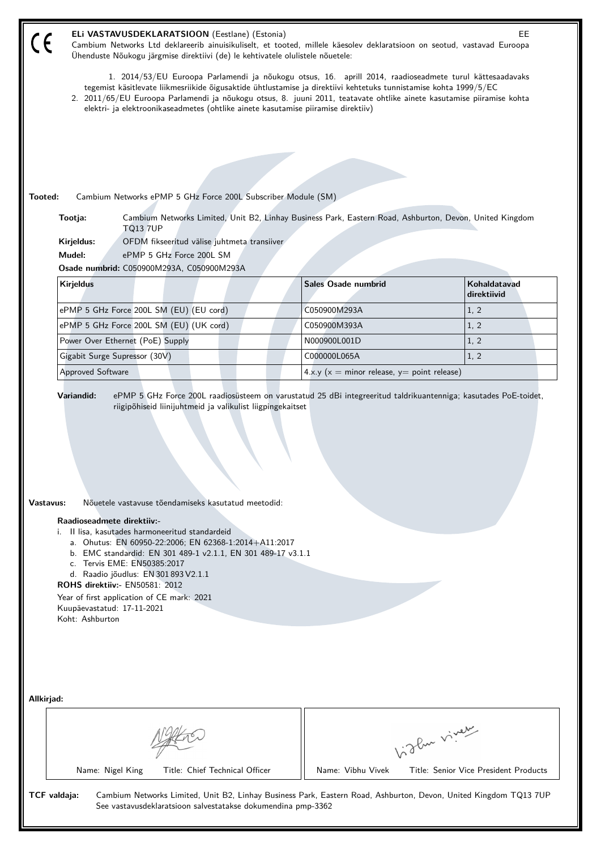|         | ELi VASTAVUSDEKLARATSIOON (Eestlane) (Estonia)<br>EE.<br>Cambium Networks Ltd deklareerib ainuisikuliselt, et tooted, millele käesolev deklaratsioon on seotud, vastavad Euroopa<br>Ühenduste Nõukogu järgmise direktiivi (de) le kehtivatele olulistele nõuetele:                                                                                                                                                                         |  |                                               |             |              |  |  |
|---------|--------------------------------------------------------------------------------------------------------------------------------------------------------------------------------------------------------------------------------------------------------------------------------------------------------------------------------------------------------------------------------------------------------------------------------------------|--|-----------------------------------------------|-------------|--------------|--|--|
|         | 1. 2014/53/EU Euroopa Parlamendi ja nõukogu otsus, 16. aprill 2014, raadioseadmete turul kättesaadavaks<br>tegemist käsitlevate liikmesriikide õigusaktide ühtlustamise ja direktiivi kehtetuks tunnistamise kohta 1999/5/EC<br>2. 2011/65/EU Euroopa Parlamendi ja nõukogu otsus, 8. juuni 2011, teatavate ohtlike ainete kasutamise piiramise kohta<br>elektri- ja elektroonikaseadmetes (ohtlike ainete kasutamise piiramise direktiiv) |  |                                               |             |              |  |  |
|         |                                                                                                                                                                                                                                                                                                                                                                                                                                            |  |                                               |             |              |  |  |
|         |                                                                                                                                                                                                                                                                                                                                                                                                                                            |  |                                               |             |              |  |  |
|         |                                                                                                                                                                                                                                                                                                                                                                                                                                            |  |                                               |             |              |  |  |
|         |                                                                                                                                                                                                                                                                                                                                                                                                                                            |  |                                               |             |              |  |  |
| Tooted: | Cambium Networks ePMP 5 GHz Force 200L Subscriber Module (SM)<br>Cambium Networks Limited, Unit B2, Linhay Business Park, Eastern Road, Ashburton, Devon, United Kingdom<br>Tootja:                                                                                                                                                                                                                                                        |  |                                               |             |              |  |  |
|         | <b>TQ13 7UP</b><br>Kirjeldus:<br>OFDM fikseeritud välise juhtmeta transiiver                                                                                                                                                                                                                                                                                                                                                               |  |                                               |             |              |  |  |
|         | Mudel:<br>ePMP 5 GHz Force 200L SM                                                                                                                                                                                                                                                                                                                                                                                                         |  |                                               |             |              |  |  |
|         | Osade numbrid: C050900M293A, C050900M293A                                                                                                                                                                                                                                                                                                                                                                                                  |  |                                               |             |              |  |  |
|         | <b>Kirjeldus</b>                                                                                                                                                                                                                                                                                                                                                                                                                           |  | Sales Osade numbrid                           | direktiivid | Kohaldatavad |  |  |
|         | ePMP 5 GHz Force 200L SM (EU) (EU cord)                                                                                                                                                                                                                                                                                                                                                                                                    |  | C050900M293A                                  | 1, 2        |              |  |  |
|         | ePMP 5 GHz Force 200L SM (EU) (UK cord)                                                                                                                                                                                                                                                                                                                                                                                                    |  | C050900M393A                                  | 1, 2        |              |  |  |
|         | Power Over Ethernet (PoE) Supply                                                                                                                                                                                                                                                                                                                                                                                                           |  | N000900L001D                                  | 1, 2        |              |  |  |
|         | Gigabit Surge Supressor (30V)                                                                                                                                                                                                                                                                                                                                                                                                              |  | C000000L065A                                  | 1, 2        |              |  |  |
|         | <b>Approved Software</b>                                                                                                                                                                                                                                                                                                                                                                                                                   |  | $4.x.y(x = minor release, y = point release)$ |             |              |  |  |
|         | Vastavus:<br>Nõuetele vastavuse tõendamiseks kasutatud meetodid:<br>Raadioseadmete direktiiv:-<br>i. Il lisa, kasutades harmoneeritud standardeid<br>a. Ohutus: EN 60950-22:2006; EN 62368-1:2014+A11:2017<br>b. EMC standardid: EN 301 489-1 v2.1.1, EN 301 489-17 v3.1.1<br>c. Tervis EME: EN50385:2017<br>d. Raadio jõudlus: EN 301 893 V2.1.1<br><b>ROHS direktiiv: EN50581: 2012</b><br>Year of first application of CE mark: 2021    |  |                                               |             |              |  |  |
|         | Kuupäevastatud: 17-11-2021<br>Koht: Ashburton<br>Allkirjad:<br>Like viney<br>Name: Nigel King<br>Title: Chief Technical Officer<br>Name: Vibhu Vivek<br>Title: Senior Vice President Products                                                                                                                                                                                                                                              |  |                                               |             |              |  |  |
|         | TCF valdaja:<br>Cambium Networks Limited, Unit B2, Linhay Business Park, Eastern Road, Ashburton, Devon, United Kingdom TQ13 7UP<br>See vastavusdeklaratsioon salvestatakse dokumendina pmp-3362                                                                                                                                                                                                                                           |  |                                               |             |              |  |  |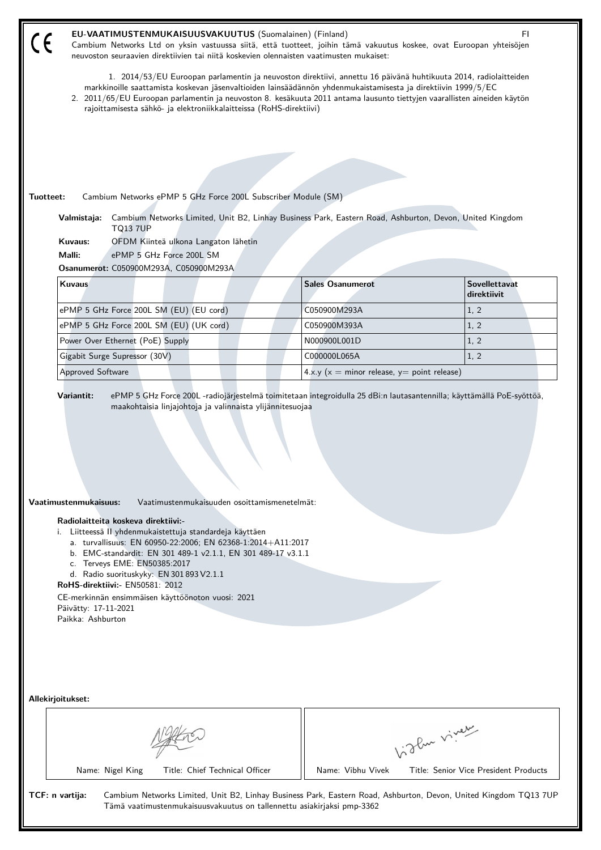|                                                                                              | EU-VAATIMUSTENMUKAISUUSVAKUUTUS (Suomalainen) (Finland)<br>neuvoston seuraavien direktiivien tai niitä koskevien olennaisten vaatimusten mukaiset:                                                                                      |                                                   | FI.<br>Cambium Networks Ltd on yksin vastuussa siitä, että tuotteet, joihin tämä vakuutus koskee, ovat Euroopan yhteisöjen                                                                                                                  |
|----------------------------------------------------------------------------------------------|-----------------------------------------------------------------------------------------------------------------------------------------------------------------------------------------------------------------------------------------|---------------------------------------------------|---------------------------------------------------------------------------------------------------------------------------------------------------------------------------------------------------------------------------------------------|
|                                                                                              | markkinoille saattamista koskevan jäsenvaltioiden lainsäädännön yhdenmukaistamisesta ja direktiivin 1999/5/EC<br>rajoittamisesta sähkö- ja elektroniikkalaitteissa (RoHS-direktiivi)                                                    |                                                   | 1. 2014/53/EU Euroopan parlamentin ja neuvoston direktiivi, annettu 16 päivänä huhtikuuta 2014, radiolaitteiden<br>2. 2011/65/EU Euroopan parlamentin ja neuvoston 8. kesäkuuta 2011 antama lausunto tiettyjen vaarallisten aineiden käytön |
|                                                                                              |                                                                                                                                                                                                                                         |                                                   |                                                                                                                                                                                                                                             |
|                                                                                              |                                                                                                                                                                                                                                         |                                                   |                                                                                                                                                                                                                                             |
|                                                                                              |                                                                                                                                                                                                                                         |                                                   |                                                                                                                                                                                                                                             |
| Tuotteet:                                                                                    | Cambium Networks ePMP 5 GHz Force 200L Subscriber Module (SM)                                                                                                                                                                           |                                                   |                                                                                                                                                                                                                                             |
|                                                                                              |                                                                                                                                                                                                                                         |                                                   | Valmistaja: Cambium Networks Limited, Unit B2, Linhay Business Park, Eastern Road, Ashburton, Devon, United Kingdom                                                                                                                         |
| <b>TQ13 7UP</b><br>Kuvaus:                                                                   | OFDM Kiinteä ulkona Langaton lähetin                                                                                                                                                                                                    |                                                   |                                                                                                                                                                                                                                             |
| Malli:                                                                                       | ePMP 5 GHz Force 200L SM                                                                                                                                                                                                                |                                                   |                                                                                                                                                                                                                                             |
|                                                                                              | Osanumerot: C050900M293A, C050900M293A                                                                                                                                                                                                  |                                                   |                                                                                                                                                                                                                                             |
| Kuvaus                                                                                       |                                                                                                                                                                                                                                         | <b>Sales Osanumerot</b>                           | <b>Sovellettavat</b><br>direktiivit                                                                                                                                                                                                         |
|                                                                                              | ePMP 5 GHz Force 200L SM (EU) (EU cord)                                                                                                                                                                                                 | C050900M293A                                      | 1, 2                                                                                                                                                                                                                                        |
|                                                                                              | ePMP 5 GHz Force 200L SM (EU) (UK cord)                                                                                                                                                                                                 | C050900M393A                                      | 1, 2                                                                                                                                                                                                                                        |
| Power Over Ethernet (PoE) Supply                                                             |                                                                                                                                                                                                                                         | N000900L001D                                      | 1, 2                                                                                                                                                                                                                                        |
| Gigabit Surge Supressor (30V)                                                                |                                                                                                                                                                                                                                         | C000000L065A                                      | 1, 2                                                                                                                                                                                                                                        |
| Approved Software                                                                            |                                                                                                                                                                                                                                         | 4.x.y ( $x =$ minor release, $y =$ point release) |                                                                                                                                                                                                                                             |
| Vaatimustenmukaisuus:<br>Radiolaitteita koskeva direktiivi:-<br>c. Terveys EME: EN50385:2017 | Vaatimustenmukaisuuden osoittamismenetelmät:<br>i. Liitteessä II yhdenmukaistettuja standardeja käyttäen<br>a. turvallisuus: EN 60950-22:2006; EN 62368-1:2014+A11:2017<br>b. EMC-standardit: EN 301 489-1 v2.1.1, EN 301 489-17 v3.1.1 |                                                   |                                                                                                                                                                                                                                             |
|                                                                                              | d. Radio suorituskyky: EN 301 893 V2.1.1                                                                                                                                                                                                |                                                   |                                                                                                                                                                                                                                             |
| <b>RoHS-direktiivi:- EN50581: 2012</b><br>Päivätty: 17-11-2021                               | CE-merkinnän ensimmäisen käyttöönoton vuosi: 2021                                                                                                                                                                                       |                                                   |                                                                                                                                                                                                                                             |
| Paikka: Ashburton                                                                            |                                                                                                                                                                                                                                         |                                                   |                                                                                                                                                                                                                                             |
|                                                                                              |                                                                                                                                                                                                                                         |                                                   |                                                                                                                                                                                                                                             |
| Allekirjoitukset:                                                                            |                                                                                                                                                                                                                                         |                                                   |                                                                                                                                                                                                                                             |
|                                                                                              |                                                                                                                                                                                                                                         |                                                   | Vidley vivey                                                                                                                                                                                                                                |
| Name: Nigel King                                                                             | Title: Chief Technical Officer                                                                                                                                                                                                          | Name: Vibhu Vivek                                 | Title: Senior Vice President Products                                                                                                                                                                                                       |
| TCF: n vartija:                                                                              | Tämä vaatimustenmukaisuusvakuutus on tallennettu asiakirjaksi pmp-3362                                                                                                                                                                  |                                                   | Cambium Networks Limited, Unit B2, Linhay Business Park, Eastern Road, Ashburton, Devon, United Kingdom TQ13 7UP                                                                                                                            |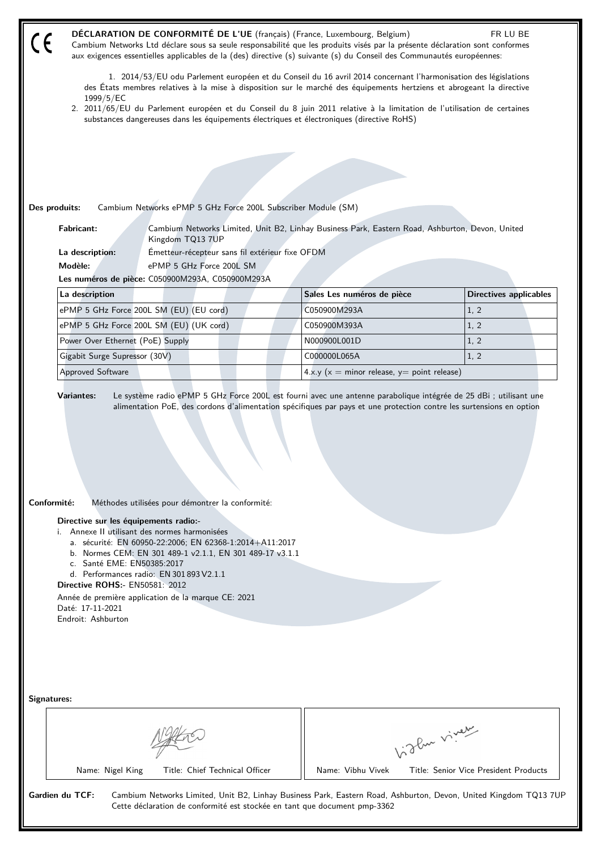| aux exigences essentielles applicables de la (des) directive (s) suivante (s) du Conseil des Communautés européennes:<br>1. 2014/53/EU odu Parlement européen et du Conseil du 16 avril 2014 concernant l'harmonisation des législations                                                |                                                                                                 |                               |
|-----------------------------------------------------------------------------------------------------------------------------------------------------------------------------------------------------------------------------------------------------------------------------------------|-------------------------------------------------------------------------------------------------|-------------------------------|
| des États membres relatives à la mise à disposition sur le marché des équipements hertziens et abrogeant la directive<br>1999/5/EC                                                                                                                                                      |                                                                                                 |                               |
| 2. 2011/65/EU du Parlement européen et du Conseil du 8 juin 2011 relative à la limitation de l'utilisation de certaines                                                                                                                                                                 |                                                                                                 |                               |
| substances dangereuses dans les équipements électriques et électroniques (directive RoHS)                                                                                                                                                                                               |                                                                                                 |                               |
|                                                                                                                                                                                                                                                                                         |                                                                                                 |                               |
|                                                                                                                                                                                                                                                                                         |                                                                                                 |                               |
|                                                                                                                                                                                                                                                                                         |                                                                                                 |                               |
|                                                                                                                                                                                                                                                                                         |                                                                                                 |                               |
| Cambium Networks ePMP 5 GHz Force 200L Subscriber Module (SM)<br>Des produits:                                                                                                                                                                                                          |                                                                                                 |                               |
| <b>Fabricant:</b><br>Kingdom TQ13 7UP                                                                                                                                                                                                                                                   | Cambium Networks Limited, Unit B2, Linhay Business Park, Eastern Road, Ashburton, Devon, United |                               |
| Émetteur-récepteur sans fil extérieur fixe OFDM<br>La description:                                                                                                                                                                                                                      |                                                                                                 |                               |
| Modèle:<br>ePMP 5 GHz Force 200L SM                                                                                                                                                                                                                                                     |                                                                                                 |                               |
| Les numéros de pièce: C050900M293A, C050900M293A                                                                                                                                                                                                                                        |                                                                                                 |                               |
| La description                                                                                                                                                                                                                                                                          | Sales Les numéros de pièce                                                                      | <b>Directives applicables</b> |
| ePMP 5 GHz Force 200L SM (EU) (EU cord)                                                                                                                                                                                                                                                 | C050900M293A                                                                                    | 1, 2                          |
| ePMP 5 GHz Force 200L SM (EU) (UK cord)                                                                                                                                                                                                                                                 | C050900M393A                                                                                    | 1, 2                          |
| Power Over Ethernet (PoE) Supply                                                                                                                                                                                                                                                        | N000900L001D                                                                                    | 1, 2                          |
|                                                                                                                                                                                                                                                                                         |                                                                                                 |                               |
| Gigabit Surge Supressor (30V)                                                                                                                                                                                                                                                           | C000000L065A                                                                                    | 1, 2                          |
| Approved Software<br>Le système radio ePMP 5 GHz Force 200L est fourni avec une antenne parabolique intégrée de 25 dBi ; utilisant une<br><b>Variantes:</b><br>alimentation PoE, des cordons d'alimentation spécifiques par pays et une protection contre les surtensions en option     | $4.x.y(x = minor release, y = point release)$                                                   |                               |
|                                                                                                                                                                                                                                                                                         |                                                                                                 |                               |
| Conformité:<br>Méthodes utilisées pour démontrer la conformité:                                                                                                                                                                                                                         |                                                                                                 |                               |
| Directive sur les équipements radio:-<br>i. Annexe II utilisant des normes harmonisées<br>a. sécurité: EN 60950-22:2006; EN 62368-1:2014+A11:2017<br>b. Normes CEM: EN 301 489-1 v2.1.1, EN 301 489-17 v3.1.1<br>c. Santé EME: EN50385:2017<br>d. Performances radio: EN 301 893 V2.1.1 |                                                                                                 |                               |
| Directive ROHS: - EN50581: 2012                                                                                                                                                                                                                                                         |                                                                                                 |                               |
| Année de première application de la marque CE: 2021<br>Daté: 17-11-2021                                                                                                                                                                                                                 |                                                                                                 |                               |
| Endroit: Ashburton                                                                                                                                                                                                                                                                      |                                                                                                 |                               |
|                                                                                                                                                                                                                                                                                         |                                                                                                 |                               |
|                                                                                                                                                                                                                                                                                         |                                                                                                 |                               |
|                                                                                                                                                                                                                                                                                         |                                                                                                 |                               |
|                                                                                                                                                                                                                                                                                         |                                                                                                 |                               |
| Signatures:                                                                                                                                                                                                                                                                             |                                                                                                 |                               |
|                                                                                                                                                                                                                                                                                         |                                                                                                 |                               |
|                                                                                                                                                                                                                                                                                         |                                                                                                 |                               |
|                                                                                                                                                                                                                                                                                         | Vidlen viner                                                                                    |                               |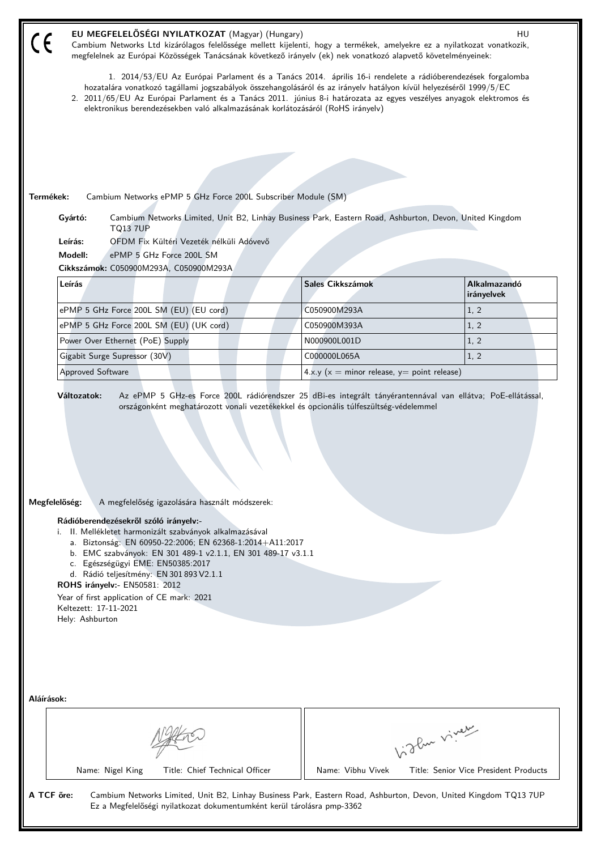|            | EU MEGFELELŐSÉGI NYILATKOZAT (Magyar) (Hungary)<br>Cambium Networks Ltd kizárólagos felelőssége mellett kijelenti, hogy a termékek, amelyekre ez a nyilatkozat vonatkozik,<br>megfelelnek az Európai Közösségek Tanácsának következő irányelv (ek) nek vonatkozó alapvető követelményeinek:                                                                                                                                                                                                                  |                                                   | HU                                    |  |  |  |  |
|------------|--------------------------------------------------------------------------------------------------------------------------------------------------------------------------------------------------------------------------------------------------------------------------------------------------------------------------------------------------------------------------------------------------------------------------------------------------------------------------------------------------------------|---------------------------------------------------|---------------------------------------|--|--|--|--|
|            | 1. 2014/53/EU Az Európai Parlament és a Tanács 2014. április 16-i rendelete a rádióberendezések forgalomba<br>hozatalára vonatkozó tagállami jogszabályok összehangolásáról és az irányelv hatályon kívül helyezéséről 1999/5/EC<br>2. 2011/65/EU Az Európai Parlament és a Tanács 2011. június 8-i határozata az egyes veszélyes anyagok elektromos és<br>elektronikus berendezésekben való alkalmazásának korlátozásáról (RoHS irányelv)                                                                   |                                                   |                                       |  |  |  |  |
|            |                                                                                                                                                                                                                                                                                                                                                                                                                                                                                                              |                                                   |                                       |  |  |  |  |
| Termékek:  | Cambium Networks ePMP 5 GHz Force 200L Subscriber Module (SM)                                                                                                                                                                                                                                                                                                                                                                                                                                                |                                                   |                                       |  |  |  |  |
|            | Gyártó:<br>Cambium Networks Limited, Unit B2, Linhay Business Park, Eastern Road, Ashburton, Devon, United Kingdom<br><b>TQ13 7UP</b>                                                                                                                                                                                                                                                                                                                                                                        |                                                   |                                       |  |  |  |  |
|            | Leírás:<br>OFDM Fix Kültéri Vezeték nélküli Adóvevő                                                                                                                                                                                                                                                                                                                                                                                                                                                          |                                                   |                                       |  |  |  |  |
|            | Modell:<br>ePMP 5 GHz Force 200L SM                                                                                                                                                                                                                                                                                                                                                                                                                                                                          |                                                   |                                       |  |  |  |  |
|            | Cikkszámok: C050900M293A, C050900M293A<br>Leírás                                                                                                                                                                                                                                                                                                                                                                                                                                                             |                                                   |                                       |  |  |  |  |
|            |                                                                                                                                                                                                                                                                                                                                                                                                                                                                                                              | Sales Cikkszámok                                  | Alkalmazandó<br>irányelvek            |  |  |  |  |
|            | ePMP 5 GHz Force 200L SM (EU) (EU cord)                                                                                                                                                                                                                                                                                                                                                                                                                                                                      | C050900M293A                                      | 1, 2                                  |  |  |  |  |
|            | ePMP 5 GHz Force 200L SM (EU) (UK cord)                                                                                                                                                                                                                                                                                                                                                                                                                                                                      | C050900M393A                                      | 1, 2                                  |  |  |  |  |
|            | Power Over Ethernet (PoE) Supply                                                                                                                                                                                                                                                                                                                                                                                                                                                                             | N000900L001D                                      | 1, 2                                  |  |  |  |  |
|            | Gigabit Surge Supressor (30V)                                                                                                                                                                                                                                                                                                                                                                                                                                                                                | C000000L065A                                      | 1, 2                                  |  |  |  |  |
|            | <b>Approved Software</b>                                                                                                                                                                                                                                                                                                                                                                                                                                                                                     | 4.x.y ( $x =$ minor release, $y =$ point release) |                                       |  |  |  |  |
|            | Megfelelőség:<br>A megfelelőség igazolására használt módszerek:<br>Rádióberendezésekről szóló irányelv:-<br>i. II. Mellékletet harmonizált szabványok alkalmazásával<br>a. Biztonság: EN 60950-22:2006; EN 62368-1:2014+A11:2017<br>b. EMC szabványok: EN 301 489-1 v2.1.1, EN 301 489-17 v3.1.1<br>c. Egészségügyi EME: EN50385:2017<br>d. Rádió teljesítmény: EN 301 893 V2.1.1<br>ROHS irányelv:- EN50581: 2012<br>Year of first application of CE mark: 2021<br>Keltezett: 17-11-2021<br>Hely: Ashburton |                                                   |                                       |  |  |  |  |
| Aláírások: |                                                                                                                                                                                                                                                                                                                                                                                                                                                                                                              |                                                   |                                       |  |  |  |  |
|            | Name: Nigel King<br>Title: Chief Technical Officer                                                                                                                                                                                                                                                                                                                                                                                                                                                           | higher viney<br>Name: Vibhu Vivek                 | Title: Senior Vice President Products |  |  |  |  |
| A TCF őre: | Cambium Networks Limited, Unit B2, Linhay Business Park, Eastern Road, Ashburton, Devon, United Kingdom TQ13 7UP<br>Ez a Megfelelőségi nyilatkozat dokumentumként kerül tárolásra pmp-3362                                                                                                                                                                                                                                                                                                                   |                                                   |                                       |  |  |  |  |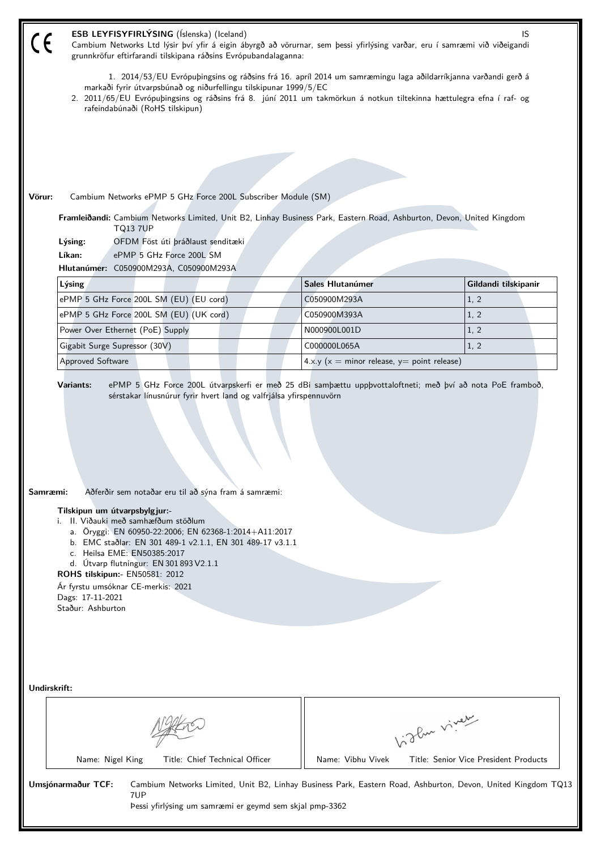| (E           | ESB LEYFISYFIRLÝSING (Íslenska) (Iceland)<br>Cambium Networks Ltd lýsir því yfir á eigin ábyrgð að vörurnar, sem þessi yfirlýsing varðar, eru í samræmi við viðeigandi<br>grunnkröfur eftirfarandi tilskipana ráðsins Evrópubandalaganna:                                                                                                                                                                                                      |                                                   | IS                                    |  |  |  |  |
|--------------|------------------------------------------------------------------------------------------------------------------------------------------------------------------------------------------------------------------------------------------------------------------------------------------------------------------------------------------------------------------------------------------------------------------------------------------------|---------------------------------------------------|---------------------------------------|--|--|--|--|
|              | 1. 2014/53/EU Evrópuþingsins og ráðsins frá 16. apríl 2014 um samræmingu laga aðildarríkjanna varðandi gerð á<br>markaði fyrir útvarpsbúnað og niðurfellingu tilskipunar 1999/5/EC<br>2. 2011/65/EU Evrópuþingsins og ráðsins frá 8. júní 2011 um takmörkun á notkun tiltekinna hættulegra efna í raf- og<br>rafeindabúnaði (RoHS tilskipun)                                                                                                   |                                                   |                                       |  |  |  |  |
|              |                                                                                                                                                                                                                                                                                                                                                                                                                                                |                                                   |                                       |  |  |  |  |
|              |                                                                                                                                                                                                                                                                                                                                                                                                                                                |                                                   |                                       |  |  |  |  |
|              |                                                                                                                                                                                                                                                                                                                                                                                                                                                |                                                   |                                       |  |  |  |  |
| Vörur:       | Cambium Networks ePMP 5 GHz Force 200L Subscriber Module (SM)                                                                                                                                                                                                                                                                                                                                                                                  |                                                   |                                       |  |  |  |  |
|              |                                                                                                                                                                                                                                                                                                                                                                                                                                                |                                                   |                                       |  |  |  |  |
|              | Framleiðandi: Cambium Networks Limited, Unit B2, Linhay Business Park, Eastern Road, Ashburton, Devon, United Kingdom<br><b>TQ13 7UP</b>                                                                                                                                                                                                                                                                                                       |                                                   |                                       |  |  |  |  |
|              | OFDM Föst úti þráðlaust senditæki<br>Lýsing:                                                                                                                                                                                                                                                                                                                                                                                                   |                                                   |                                       |  |  |  |  |
|              | Líkan:<br>ePMP 5 GHz Force 200L SM                                                                                                                                                                                                                                                                                                                                                                                                             |                                                   |                                       |  |  |  |  |
|              | Hlutanúmer: C050900M293A, C050900M293A                                                                                                                                                                                                                                                                                                                                                                                                         |                                                   |                                       |  |  |  |  |
|              | Lýsing                                                                                                                                                                                                                                                                                                                                                                                                                                         | Sales Hlutanúmer                                  | Gildandi tilskipanir                  |  |  |  |  |
|              | ePMP 5 GHz Force 200L SM (EU) (EU cord)                                                                                                                                                                                                                                                                                                                                                                                                        | C050900M293A                                      | 1, 2                                  |  |  |  |  |
|              | ePMP 5 GHz Force 200L SM (EU) (UK cord)                                                                                                                                                                                                                                                                                                                                                                                                        | C050900M393A                                      | 1, 2                                  |  |  |  |  |
|              | Power Over Ethernet (PoE) Supply                                                                                                                                                                                                                                                                                                                                                                                                               | N000900L001D                                      | 1, 2                                  |  |  |  |  |
|              | Gigabit Surge Supressor (30V)                                                                                                                                                                                                                                                                                                                                                                                                                  | C000000L065A                                      | 1, 2                                  |  |  |  |  |
|              | <b>Approved Software</b>                                                                                                                                                                                                                                                                                                                                                                                                                       | 4.x.y ( $x =$ minor release, $y =$ point release) |                                       |  |  |  |  |
| Samræmi:     | Aðferðir sem notaðar eru til að sýna fram á samræmi:<br>Tilskipun um útvarpsbylgjur:-<br>i. II. Viðauki með samhæfðum stöðlum<br>a. Öryggi: EN 60950-22:2006; EN 62368-1:2014+A11:2017<br>b. EMC staðlar: EN 301 489-1 v2.1.1, EN 301 489-17 v3.1.1<br>c. Heilsa EME: EN50385:2017<br>d. Útvarp flutningur: EN 301 893 V2.1.1<br>ROHS tilskipun:- EN50581: 2012<br>Ár fyrstu umsóknar CE-merkis: 2021<br>Dags: 17-11-2021<br>Staður: Ashburton |                                                   |                                       |  |  |  |  |
| Undirskrift: |                                                                                                                                                                                                                                                                                                                                                                                                                                                |                                                   | Like viney                            |  |  |  |  |
|              | Name: Nigel King<br>Title: Chief Technical Officer                                                                                                                                                                                                                                                                                                                                                                                             | Name: Vibhu Vivek                                 | Title: Senior Vice President Products |  |  |  |  |
|              | Umsjónarmaður TCF:<br>Cambium Networks Limited, Unit B2, Linhay Business Park, Eastern Road, Ashburton, Devon, United Kingdom TQ13<br>7UP<br>Pessi yfirlýsing um samræmi er geymd sem skjal pmp-3362                                                                                                                                                                                                                                           |                                                   |                                       |  |  |  |  |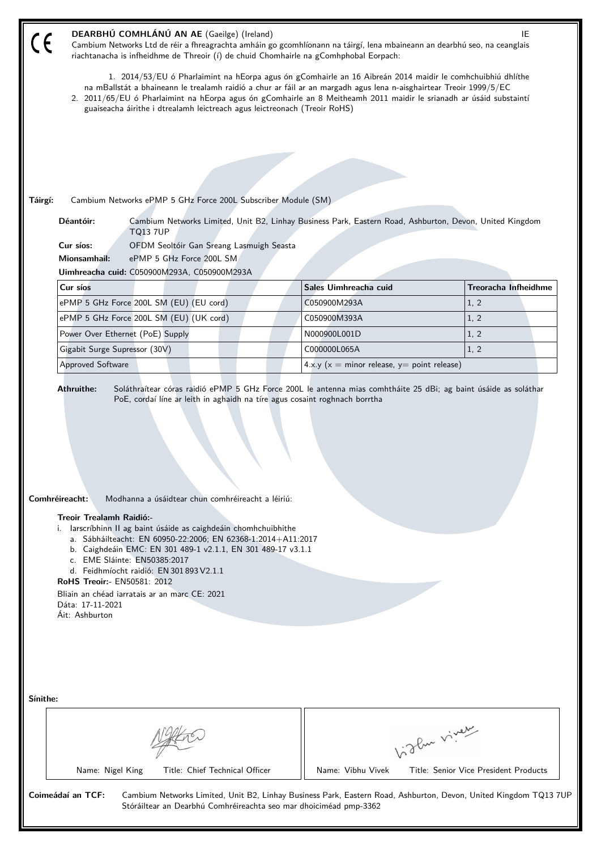| 1. 2014/53/EU ó Pharlaimint na hEorpa agus ón gComhairle an 16 Aibreán 2014 maidir le comhchuibhiú dhlíthe<br>na mBallstát a bhaineann le trealamh raidió a chur ar fáil ar an margadh agus lena n-aisghairtear Treoir 1999/5/EC<br>2. 2011/65/EU ó Pharlaimint na hEorpa agus ón gComhairle an 8 Meitheamh 2011 maidir le srianadh ar úsáid substaintí | Cambium Networks Limited, Unit B2, Linhay Business Park, Eastern Road, Ashburton, Devon, United Kingdom                         |
|---------------------------------------------------------------------------------------------------------------------------------------------------------------------------------------------------------------------------------------------------------------------------------------------------------------------------------------------------------|---------------------------------------------------------------------------------------------------------------------------------|
|                                                                                                                                                                                                                                                                                                                                                         |                                                                                                                                 |
|                                                                                                                                                                                                                                                                                                                                                         |                                                                                                                                 |
|                                                                                                                                                                                                                                                                                                                                                         |                                                                                                                                 |
|                                                                                                                                                                                                                                                                                                                                                         |                                                                                                                                 |
|                                                                                                                                                                                                                                                                                                                                                         |                                                                                                                                 |
|                                                                                                                                                                                                                                                                                                                                                         |                                                                                                                                 |
|                                                                                                                                                                                                                                                                                                                                                         |                                                                                                                                 |
|                                                                                                                                                                                                                                                                                                                                                         |                                                                                                                                 |
|                                                                                                                                                                                                                                                                                                                                                         |                                                                                                                                 |
|                                                                                                                                                                                                                                                                                                                                                         |                                                                                                                                 |
|                                                                                                                                                                                                                                                                                                                                                         |                                                                                                                                 |
|                                                                                                                                                                                                                                                                                                                                                         | Treoracha Infheidhme                                                                                                            |
|                                                                                                                                                                                                                                                                                                                                                         | 1, 2                                                                                                                            |
|                                                                                                                                                                                                                                                                                                                                                         | 1, 2                                                                                                                            |
|                                                                                                                                                                                                                                                                                                                                                         | 1, 2                                                                                                                            |
| 4.x.y ( $x =$ minor release, $y =$ point release)                                                                                                                                                                                                                                                                                                       | 1, 2                                                                                                                            |
|                                                                                                                                                                                                                                                                                                                                                         |                                                                                                                                 |
|                                                                                                                                                                                                                                                                                                                                                         |                                                                                                                                 |
|                                                                                                                                                                                                                                                                                                                                                         |                                                                                                                                 |
|                                                                                                                                                                                                                                                                                                                                                         |                                                                                                                                 |
|                                                                                                                                                                                                                                                                                                                                                         |                                                                                                                                 |
|                                                                                                                                                                                                                                                                                                                                                         |                                                                                                                                 |
|                                                                                                                                                                                                                                                                                                                                                         |                                                                                                                                 |
|                                                                                                                                                                                                                                                                                                                                                         |                                                                                                                                 |
|                                                                                                                                                                                                                                                                                                                                                         |                                                                                                                                 |
|                                                                                                                                                                                                                                                                                                                                                         |                                                                                                                                 |
|                                                                                                                                                                                                                                                                                                                                                         | Title: Senior Vice President Products                                                                                           |
|                                                                                                                                                                                                                                                                                                                                                         | Vidley viney<br>Cambium Networks Limited, Unit B2, Linhay Business Park, Eastern Road, Ashburton, Devon, United Kingdom TQ137UF |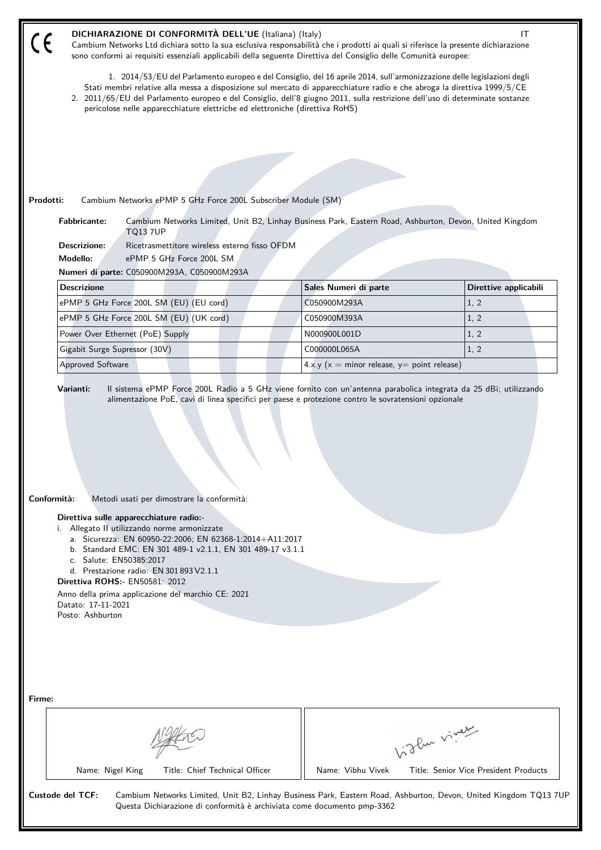|                                                                                         | DICHIARAZIONE DI CONFORMITÀ DELL'UE (Italiana) (Italy)<br>Cambium Networks Ltd dichiara sotto la sua esclusiva responsabilità che i prodotti ai quali si riferisce la presente dichiarazione<br>sono conformi ai requisiti essenziali applicabili della seguente Direttiva del Consiglio delle Comunità europee:                                                                                                                                                   |                                                   |                                       | IT |  |  |  |  |
|-----------------------------------------------------------------------------------------|--------------------------------------------------------------------------------------------------------------------------------------------------------------------------------------------------------------------------------------------------------------------------------------------------------------------------------------------------------------------------------------------------------------------------------------------------------------------|---------------------------------------------------|---------------------------------------|----|--|--|--|--|
|                                                                                         | 1. 2014/53/EU del Parlamento europeo e del Consiglio, del 16 aprile 2014, sull'armonizzazione delle legislazioni degli<br>Stati membri relative alla messa a disposizione sul mercato di apparecchiature radio e che abroga la direttiva 1999/5/CE<br>2. 2011/65/EU del Parlamento europeo e del Consiglio, dell'8 giugno 2011, sulla restrizione dell'uso di determinate sostanze<br>pericolose nelle apparecchiature elettriche ed elettroniche (direttiva RoHS) |                                                   |                                       |    |  |  |  |  |
|                                                                                         |                                                                                                                                                                                                                                                                                                                                                                                                                                                                    |                                                   |                                       |    |  |  |  |  |
|                                                                                         |                                                                                                                                                                                                                                                                                                                                                                                                                                                                    |                                                   |                                       |    |  |  |  |  |
|                                                                                         |                                                                                                                                                                                                                                                                                                                                                                                                                                                                    |                                                   |                                       |    |  |  |  |  |
| Prodotti:                                                                               | Cambium Networks ePMP 5 GHz Force 200L Subscriber Module (SM)                                                                                                                                                                                                                                                                                                                                                                                                      |                                                   |                                       |    |  |  |  |  |
| <b>Fabbricante:</b>                                                                     | Cambium Networks Limited, Unit B2, Linhay Business Park, Eastern Road, Ashburton, Devon, United Kingdom<br><b>TQ13 7UP</b>                                                                                                                                                                                                                                                                                                                                         |                                                   |                                       |    |  |  |  |  |
| <b>Descrizione:</b>                                                                     | Ricetrasmettitore wireless esterno fisso OFDM                                                                                                                                                                                                                                                                                                                                                                                                                      |                                                   |                                       |    |  |  |  |  |
| Modello:                                                                                | ePMP 5 GHz Force 200L SM                                                                                                                                                                                                                                                                                                                                                                                                                                           |                                                   |                                       |    |  |  |  |  |
|                                                                                         | Numeri di parte: C050900M293A, C050900M293A                                                                                                                                                                                                                                                                                                                                                                                                                        |                                                   |                                       |    |  |  |  |  |
| <b>Descrizione</b>                                                                      |                                                                                                                                                                                                                                                                                                                                                                                                                                                                    | Sales Numeri di parte                             | Direttive applicabili                 |    |  |  |  |  |
|                                                                                         | ePMP 5 GHz Force 200L SM (EU) (EU cord)                                                                                                                                                                                                                                                                                                                                                                                                                            | C050900M293A                                      | 1, 2                                  |    |  |  |  |  |
|                                                                                         | ePMP 5 GHz Force 200L SM (EU) (UK cord)                                                                                                                                                                                                                                                                                                                                                                                                                            | C050900M393A                                      | 1, 2                                  |    |  |  |  |  |
| Power Over Ethernet (PoE) Supply                                                        |                                                                                                                                                                                                                                                                                                                                                                                                                                                                    | N000900L001D                                      | 1, 2                                  |    |  |  |  |  |
| Gigabit Surge Supressor (30V)                                                           |                                                                                                                                                                                                                                                                                                                                                                                                                                                                    | C000000L065A                                      | 1, 2                                  |    |  |  |  |  |
| Approved Software                                                                       |                                                                                                                                                                                                                                                                                                                                                                                                                                                                    | 4.x.y ( $x =$ minor release, $y =$ point release) |                                       |    |  |  |  |  |
| Conformità:<br>Direttiva sulle apparecchiature radio:-<br>i.<br>c. Salute: EN50385:2017 | Metodi usati per dimostrare la conformità:<br>Allegato II utilizzando norme armonizzate<br>a. Sicurezza: EN 60950-22:2006; EN 62368-1:2014+A11:2017<br>b. Standard EMC: EN 301 489-1 v2.1.1, EN 301 489-17 v3.1.1<br>d. Prestazione radio: EN 301 893 V2.1.1                                                                                                                                                                                                       |                                                   |                                       |    |  |  |  |  |
| <b>Direttiva ROHS:- EN50581: 2012</b>                                                   | Anno della prima applicazione del marchio CE: 2021                                                                                                                                                                                                                                                                                                                                                                                                                 |                                                   |                                       |    |  |  |  |  |
| Datato: 17-11-2021                                                                      |                                                                                                                                                                                                                                                                                                                                                                                                                                                                    |                                                   |                                       |    |  |  |  |  |
| Posto: Ashburton                                                                        |                                                                                                                                                                                                                                                                                                                                                                                                                                                                    |                                                   |                                       |    |  |  |  |  |
| Firme:                                                                                  |                                                                                                                                                                                                                                                                                                                                                                                                                                                                    |                                                   |                                       |    |  |  |  |  |
|                                                                                         |                                                                                                                                                                                                                                                                                                                                                                                                                                                                    |                                                   | biglan viney                          |    |  |  |  |  |
| Name: Nigel King                                                                        | Title: Chief Technical Officer                                                                                                                                                                                                                                                                                                                                                                                                                                     | Name: Vibhu Vivek                                 | Title: Senior Vice President Products |    |  |  |  |  |
| <b>Custode del TCF:</b>                                                                 | Cambium Networks Limited, Unit B2, Linhay Business Park, Eastern Road, Ashburton, Devon, United Kingdom TQ13 7UP<br>Questa Dichiarazione di conformità è archiviata come documento pmp-3362                                                                                                                                                                                                                                                                        |                                                   |                                       |    |  |  |  |  |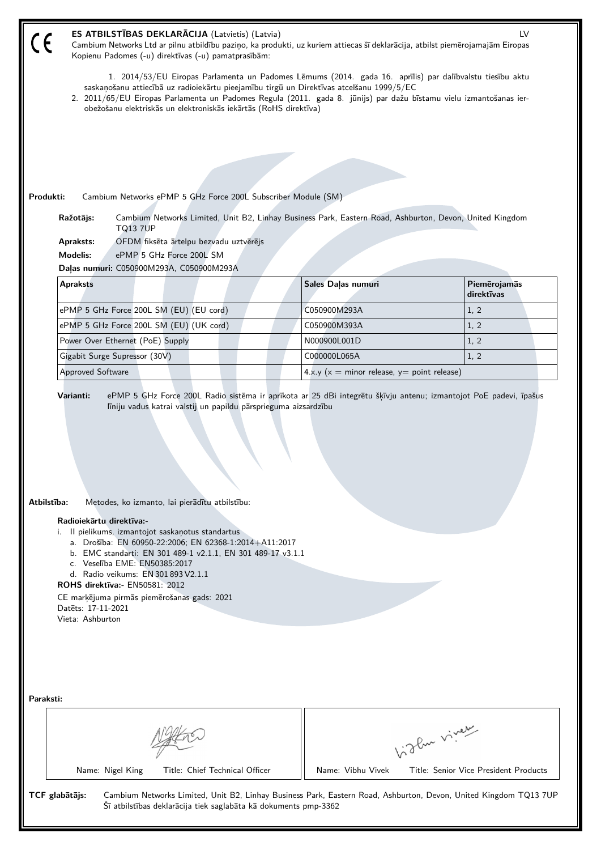| $\epsilon$                                                                                                                                                                                                                                                              | ES ATBILSTĪBAS DEKLARĀCIJA (Latvietis) (Latvia)<br>LV<br>Cambium Networks Ltd ar pilnu atbildību paziņo, ka produkti, uz kuriem attiecas šī deklarācija, atbilst piemērojamajām Eiropas<br>Kopienu Padomes (-u) direktīvas (-u) pamatprasībām:                                                                                                                                                 |                                                                                                         |                                       |  |  |  |
|-------------------------------------------------------------------------------------------------------------------------------------------------------------------------------------------------------------------------------------------------------------------------|------------------------------------------------------------------------------------------------------------------------------------------------------------------------------------------------------------------------------------------------------------------------------------------------------------------------------------------------------------------------------------------------|---------------------------------------------------------------------------------------------------------|---------------------------------------|--|--|--|
|                                                                                                                                                                                                                                                                         | 1. 2014/53/EU Eiropas Parlamenta un Padomes Lēmums (2014. gada 16. aprīlis) par dalībvalstu tiesību aktu<br>saskaņošanu attiecībā uz radioiekārtu pieejamību tirgū un Direktīvas atcelšanu 1999/5/EC<br>2. 2011/65/EU Eiropas Parlamenta un Padomes Regula (2011. gada 8. jūnijs) par dažu bīstamu vielu izmantošanas ier-<br>obežošanu elektriskās un elektroniskās iekārtās (RoHS direktīva) |                                                                                                         |                                       |  |  |  |
|                                                                                                                                                                                                                                                                         |                                                                                                                                                                                                                                                                                                                                                                                                |                                                                                                         |                                       |  |  |  |
|                                                                                                                                                                                                                                                                         |                                                                                                                                                                                                                                                                                                                                                                                                |                                                                                                         |                                       |  |  |  |
|                                                                                                                                                                                                                                                                         |                                                                                                                                                                                                                                                                                                                                                                                                |                                                                                                         |                                       |  |  |  |
| Produkti:                                                                                                                                                                                                                                                               | Cambium Networks ePMP 5 GHz Force 200L Subscriber Module (SM)                                                                                                                                                                                                                                                                                                                                  |                                                                                                         |                                       |  |  |  |
|                                                                                                                                                                                                                                                                         | Ražotājs:<br><b>TQ13 7UP</b>                                                                                                                                                                                                                                                                                                                                                                   | Cambium Networks Limited, Unit B2, Linhay Business Park, Eastern Road, Ashburton, Devon, United Kingdom |                                       |  |  |  |
|                                                                                                                                                                                                                                                                         | OFDM fiksēta ārtelpu bezvadu uztvērējs<br>Apraksts:                                                                                                                                                                                                                                                                                                                                            |                                                                                                         |                                       |  |  |  |
|                                                                                                                                                                                                                                                                         | <b>Modelis:</b><br>ePMP 5 GHz Force 200L SM<br>Daļas numuri: C050900M293A, C050900M293A                                                                                                                                                                                                                                                                                                        |                                                                                                         |                                       |  |  |  |
|                                                                                                                                                                                                                                                                         | <b>Apraksts</b>                                                                                                                                                                                                                                                                                                                                                                                | Sales Daļas numuri                                                                                      | Piemērojamās                          |  |  |  |
|                                                                                                                                                                                                                                                                         |                                                                                                                                                                                                                                                                                                                                                                                                |                                                                                                         | direktīvas                            |  |  |  |
|                                                                                                                                                                                                                                                                         | ePMP 5 GHz Force 200L SM (EU) (EU cord)                                                                                                                                                                                                                                                                                                                                                        | C050900M293A                                                                                            | 1, 2                                  |  |  |  |
|                                                                                                                                                                                                                                                                         | ePMP 5 GHz Force 200L SM (EU) (UK cord)                                                                                                                                                                                                                                                                                                                                                        | C050900M393A                                                                                            | 1, 2                                  |  |  |  |
|                                                                                                                                                                                                                                                                         | Power Over Ethernet (PoE) Supply                                                                                                                                                                                                                                                                                                                                                               | N000900L001D                                                                                            | 1, 2                                  |  |  |  |
|                                                                                                                                                                                                                                                                         | Gigabit Surge Supressor (30V)<br><b>Approved Software</b>                                                                                                                                                                                                                                                                                                                                      | C000000L065A<br>$4.x.y(x = minor release, y = point release)$                                           | 1, 2                                  |  |  |  |
|                                                                                                                                                                                                                                                                         |                                                                                                                                                                                                                                                                                                                                                                                                |                                                                                                         |                                       |  |  |  |
| Atbilstība:<br>Metodes, ko izmanto, lai pierādītu atbilstību:<br>Radioiekārtu direktīva:-<br>i. Il pielikums, izmantojot saskaņotus standartus<br>a. Drošība: EN 60950-22:2006; EN 62368-1:2014+A11:2017<br>b. EMC standarti: EN 301 489-1 v2.1.1, EN 301 489-17 v3.1.1 |                                                                                                                                                                                                                                                                                                                                                                                                |                                                                                                         |                                       |  |  |  |
|                                                                                                                                                                                                                                                                         | c. Veselība EME: EN50385:2017<br>d. Radio veikums: EN 301 893 V2.1.1                                                                                                                                                                                                                                                                                                                           |                                                                                                         |                                       |  |  |  |
|                                                                                                                                                                                                                                                                         | <b>ROHS direktīva: EN50581: 2012</b>                                                                                                                                                                                                                                                                                                                                                           |                                                                                                         |                                       |  |  |  |
|                                                                                                                                                                                                                                                                         | CE marķējuma pirmās piemērošanas gads: 2021<br>Datets: 17-11-2021                                                                                                                                                                                                                                                                                                                              |                                                                                                         |                                       |  |  |  |
|                                                                                                                                                                                                                                                                         | Vieta: Ashburton                                                                                                                                                                                                                                                                                                                                                                               |                                                                                                         |                                       |  |  |  |
|                                                                                                                                                                                                                                                                         |                                                                                                                                                                                                                                                                                                                                                                                                |                                                                                                         |                                       |  |  |  |
|                                                                                                                                                                                                                                                                         |                                                                                                                                                                                                                                                                                                                                                                                                |                                                                                                         |                                       |  |  |  |
| Paraksti:                                                                                                                                                                                                                                                               |                                                                                                                                                                                                                                                                                                                                                                                                |                                                                                                         |                                       |  |  |  |
|                                                                                                                                                                                                                                                                         |                                                                                                                                                                                                                                                                                                                                                                                                |                                                                                                         | Like viney                            |  |  |  |
|                                                                                                                                                                                                                                                                         | Name: Nigel King<br>Title: Chief Technical Officer                                                                                                                                                                                                                                                                                                                                             | Name: Vibhu Vivek                                                                                       | Title: Senior Vice President Products |  |  |  |
|                                                                                                                                                                                                                                                                         | TCF glabātājs:<br>Cambium Networks Limited, Unit B2, Linhay Business Park, Eastern Road, Ashburton, Devon, United Kingdom TQ13 7UP<br>Šī atbilstības deklarācija tiek saglabāta kā dokuments pmp-3362                                                                                                                                                                                          |                                                                                                         |                                       |  |  |  |
|                                                                                                                                                                                                                                                                         |                                                                                                                                                                                                                                                                                                                                                                                                |                                                                                                         |                                       |  |  |  |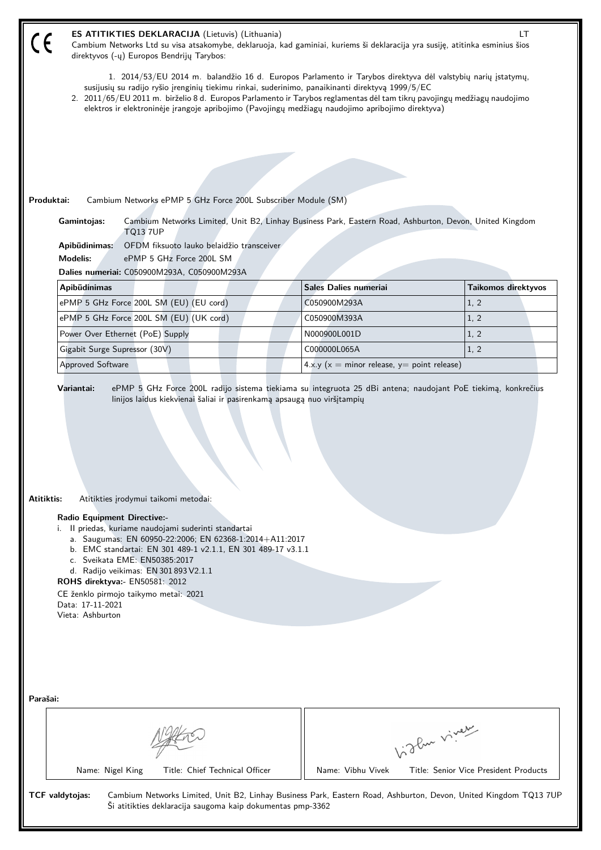| ES ATITIKTIES DEKLARACIJA (Lietuvis) (Lithuania)<br>LT<br>$\mathfrak c$ $\epsilon$<br>Cambium Networks Ltd su visa atsakomybe, deklaruoja, kad gaminiai, kuriems ši deklaracija yra susiję, atitinka esminius šios<br>direktyvos (-ų) Europos Bendrijų Tarybos:                                                                                                                                                                                       |                                                   |                                       |  |  |  |
|-------------------------------------------------------------------------------------------------------------------------------------------------------------------------------------------------------------------------------------------------------------------------------------------------------------------------------------------------------------------------------------------------------------------------------------------------------|---------------------------------------------------|---------------------------------------|--|--|--|
| 1. 2014/53/EU 2014 m. balandžio 16 d. Europos Parlamento ir Tarybos direktyva dėl valstybių narių įstatymų,<br>susijusių su radijo ryšio įrenginių tiekimu rinkai, suderinimo, panaikinanti direktyvą 1999/5/EC<br>2. 2011/65/EU 2011 m. birželio 8 d. Europos Parlamento ir Tarybos reglamentas dėl tam tikrų pavojingų medžiagų naudojimo                                                                                                           |                                                   |                                       |  |  |  |
| elektros ir elektroninėje įrangoje apribojimo (Pavojingų medžiagų naudojimo apribojimo direktyva)                                                                                                                                                                                                                                                                                                                                                     |                                                   |                                       |  |  |  |
|                                                                                                                                                                                                                                                                                                                                                                                                                                                       |                                                   |                                       |  |  |  |
|                                                                                                                                                                                                                                                                                                                                                                                                                                                       |                                                   |                                       |  |  |  |
|                                                                                                                                                                                                                                                                                                                                                                                                                                                       |                                                   |                                       |  |  |  |
|                                                                                                                                                                                                                                                                                                                                                                                                                                                       |                                                   |                                       |  |  |  |
| Cambium Networks ePMP 5 GHz Force 200L Subscriber Module (SM)<br>Produktai:                                                                                                                                                                                                                                                                                                                                                                           |                                                   |                                       |  |  |  |
| Cambium Networks Limited, Unit B2, Linhay Business Park, Eastern Road, Ashburton, Devon, United Kingdom<br>Gamintojas:<br><b>TQ13 7UP</b>                                                                                                                                                                                                                                                                                                             |                                                   |                                       |  |  |  |
| OFDM fiksuoto lauko belaidžio transceiver<br>Apibūdinimas:                                                                                                                                                                                                                                                                                                                                                                                            |                                                   |                                       |  |  |  |
| <b>Modelis:</b><br>ePMP 5 GHz Force 200L SM                                                                                                                                                                                                                                                                                                                                                                                                           |                                                   |                                       |  |  |  |
| Dalies numeriai: C050900M293A, C050900M293A                                                                                                                                                                                                                                                                                                                                                                                                           |                                                   |                                       |  |  |  |
| Apibūdinimas                                                                                                                                                                                                                                                                                                                                                                                                                                          | Sales Dalies numeriai                             | Taikomos direktyvos                   |  |  |  |
| ePMP 5 GHz Force 200L SM (EU) (EU cord)                                                                                                                                                                                                                                                                                                                                                                                                               | C050900M293A                                      | 1, 2                                  |  |  |  |
| ePMP 5 GHz Force 200L SM (EU) (UK cord)                                                                                                                                                                                                                                                                                                                                                                                                               | C050900M393A                                      | 1, 2<br>1, 2                          |  |  |  |
| Power Over Ethernet (PoE) Supply<br>Gigabit Surge Supressor (30V)                                                                                                                                                                                                                                                                                                                                                                                     | N000900L001D<br>C000000L065A                      | 1, 2                                  |  |  |  |
| <b>Approved Software</b>                                                                                                                                                                                                                                                                                                                                                                                                                              | 4.x.y ( $x =$ minor release, $y =$ point release) |                                       |  |  |  |
|                                                                                                                                                                                                                                                                                                                                                                                                                                                       |                                                   |                                       |  |  |  |
| Atitiktis:<br>Atitikties įrodymui taikomi metodai:<br><b>Radio Equipment Directive:-</b><br>i. Il priedas, kuriame naudojami suderinti standartai<br>a. Saugumas: EN 60950-22:2006; EN 62368-1:2014+A11:2017<br>b. EMC standartai: EN 301 489-1 v2.1.1, EN 301 489-17 v3.1.1<br>c. Sveikata EME: EN50385:2017<br>d. Radijo veikimas: EN 301 893 V2.1.1<br>ROHS direktyva:- EN50581: 2012<br>CE ženklo pirmojo taikymo metai: 2021<br>Data: 17-11-2021 |                                                   |                                       |  |  |  |
| Parašai:                                                                                                                                                                                                                                                                                                                                                                                                                                              |                                                   | Light viver                           |  |  |  |
|                                                                                                                                                                                                                                                                                                                                                                                                                                                       |                                                   |                                       |  |  |  |
| Name: Nigel King<br>Title: Chief Technical Officer                                                                                                                                                                                                                                                                                                                                                                                                    | Name: Vibhu Vivek                                 | Title: Senior Vice President Products |  |  |  |
| TCF valdytojas:<br>Cambium Networks Limited, Unit B2, Linhay Business Park, Eastern Road, Ashburton, Devon, United Kingdom TQ13 7UP<br>Ši atitikties deklaracija saugoma kaip dokumentas pmp-3362                                                                                                                                                                                                                                                     |                                                   |                                       |  |  |  |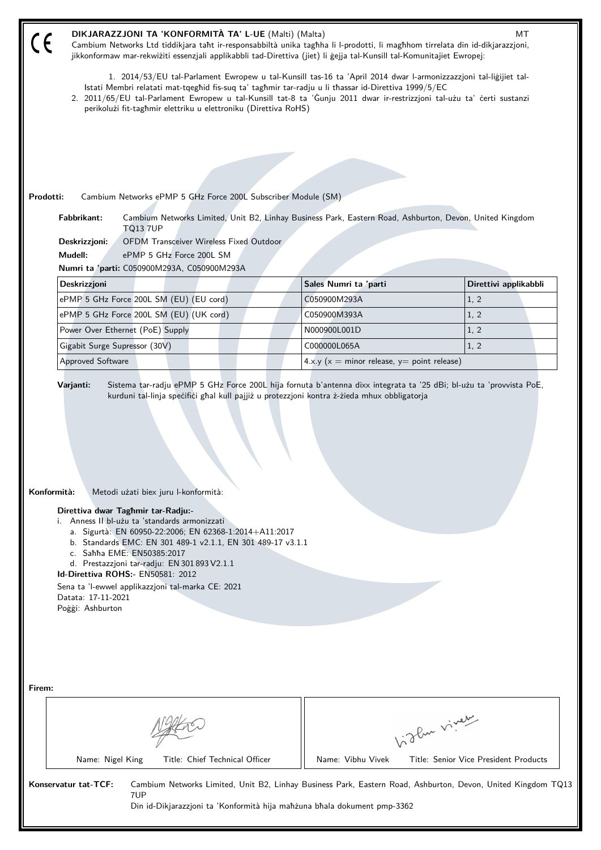| DIKJARAZZJONI TA 'KONFORMITÀ TA' L-UE (Malti) (Malta)<br>MТ<br>$\epsilon$<br>Cambium Networks Ltd tiddikjara taht ir-responsabbiltà unika taghha li l-prodotti, li maghhom tirrelata din id-dikjarazzjoni,<br>jikkonformaw mar-rekwiżiti essenzjali applikabbli tad-Direttiva (jiet) li gejja tal-Kunsill tal-Komunitajiet Ewropej:                                                                                                                                                   |                                                   |                                                                                                              |  |  |  |
|---------------------------------------------------------------------------------------------------------------------------------------------------------------------------------------------------------------------------------------------------------------------------------------------------------------------------------------------------------------------------------------------------------------------------------------------------------------------------------------|---------------------------------------------------|--------------------------------------------------------------------------------------------------------------|--|--|--|
| 1. 2014/53/EU tal-Parlament Ewropew u tal-Kunsill tas-16 ta 'April 2014 dwar l-armonizzazzjoni tal-ligijiet tal-<br>Istati Membri relatati mat-tqeghid fis-suq ta' taghmir tar-radju u li thassar id-Direttiva 1999/5/EC<br>2. 2011/65/EU tal-Parlament Ewropew u tal-Kunsill tat-8 ta 'Gunju 2011 dwar ir-restrizzjoni tal-użu ta' certi sustanzi<br>perikolużi fit-taghmir elettriku u elettroniku (Direttiva RoHS)                                                                 |                                                   |                                                                                                              |  |  |  |
|                                                                                                                                                                                                                                                                                                                                                                                                                                                                                       |                                                   |                                                                                                              |  |  |  |
|                                                                                                                                                                                                                                                                                                                                                                                                                                                                                       |                                                   |                                                                                                              |  |  |  |
|                                                                                                                                                                                                                                                                                                                                                                                                                                                                                       |                                                   |                                                                                                              |  |  |  |
| Prodotti:<br>Cambium Networks ePMP 5 GHz Force 200L Subscriber Module (SM)                                                                                                                                                                                                                                                                                                                                                                                                            |                                                   |                                                                                                              |  |  |  |
| Fabbrikant:<br>Cambium Networks Limited, Unit B2, Linhay Business Park, Eastern Road, Ashburton, Devon, United Kingdom<br><b>TQ13 7UP</b>                                                                                                                                                                                                                                                                                                                                             |                                                   |                                                                                                              |  |  |  |
| OFDM Transceiver Wireless Fixed Outdoor<br>Deskrizzjoni:                                                                                                                                                                                                                                                                                                                                                                                                                              |                                                   |                                                                                                              |  |  |  |
| Mudell:<br>ePMP 5 GHz Force 200L SM                                                                                                                                                                                                                                                                                                                                                                                                                                                   |                                                   |                                                                                                              |  |  |  |
| Numri ta 'parti: C050900M293A, C050900M293A                                                                                                                                                                                                                                                                                                                                                                                                                                           |                                                   |                                                                                                              |  |  |  |
| Deskrizzjoni                                                                                                                                                                                                                                                                                                                                                                                                                                                                          | Sales Numri ta 'parti                             | Direttivi applikabbli                                                                                        |  |  |  |
| ePMP 5 GHz Force 200L SM (EU) (EU cord)                                                                                                                                                                                                                                                                                                                                                                                                                                               | C050900M293A                                      | 1, 2<br>1, 2                                                                                                 |  |  |  |
| ePMP 5 GHz Force 200L SM (EU) (UK cord)<br>Power Over Ethernet (PoE) Supply                                                                                                                                                                                                                                                                                                                                                                                                           | C050900M393A<br>N000900L001D                      | 1, 2                                                                                                         |  |  |  |
| Gigabit Surge Supressor (30V)                                                                                                                                                                                                                                                                                                                                                                                                                                                         | C000000L065A                                      | 1, 2                                                                                                         |  |  |  |
| Approved Software                                                                                                                                                                                                                                                                                                                                                                                                                                                                     | 4.x.y ( $x =$ minor release, $y =$ point release) |                                                                                                              |  |  |  |
|                                                                                                                                                                                                                                                                                                                                                                                                                                                                                       |                                                   |                                                                                                              |  |  |  |
| Konformità:<br>Metodi użati biex juru l-konformità:<br>Direttiva dwar Taghmir tar-Radju:-<br>i. Anness II bl-użu ta 'standards armonizzati<br>a. Sigurtà: EN 60950-22:2006; EN 62368-1:2014+A11:2017<br>b. Standards EMC: EN 301 489-1 v2.1.1, EN 301 489-17 v3.1.1<br>c. Sahha EME: EN50385:2017<br>d. Prestazzjoni tar-radju: EN 301 893 V2.1.1<br>Id-Direttiva ROHS:- EN50581: 2012<br>Sena ta 'l-ewwel applikazzjoni tal-marka CE: 2021<br>Datata: 17-11-2021<br>Poggi: Ashburton |                                                   |                                                                                                              |  |  |  |
| Firem:                                                                                                                                                                                                                                                                                                                                                                                                                                                                                |                                                   | biglan viney                                                                                                 |  |  |  |
| Name: Nigel King<br>Title: Chief Technical Officer                                                                                                                                                                                                                                                                                                                                                                                                                                    | Name: Vibhu Vivek                                 | Title: Senior Vice President Products                                                                        |  |  |  |
| Konservatur tat-TCF:<br>7UP<br>Din id-Dikjarazzjoni ta 'Konformità hija mahżuna bhala dokument pmp-3362                                                                                                                                                                                                                                                                                                                                                                               |                                                   | Cambium Networks Limited, Unit B2, Linhay Business Park, Eastern Road, Ashburton, Devon, United Kingdom TQ13 |  |  |  |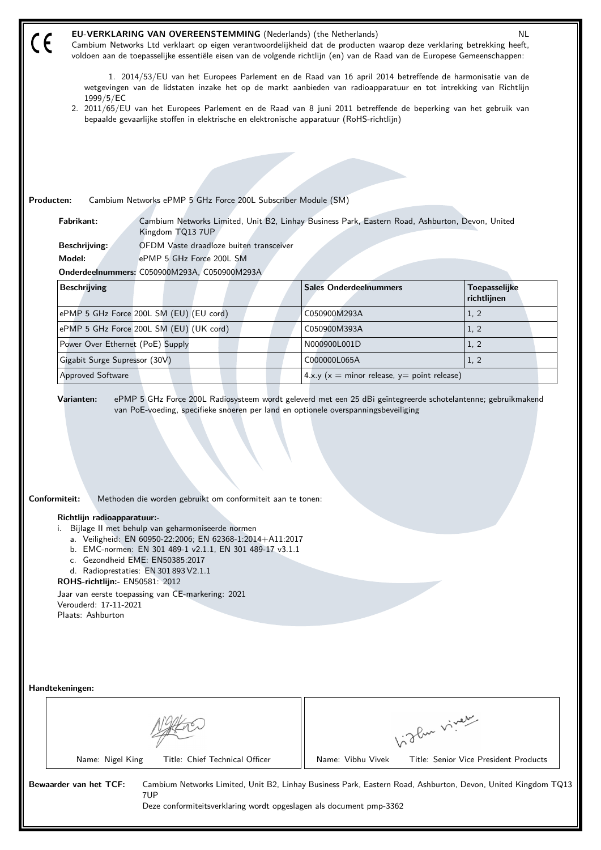|                                                                                                                                                                                                                                                                                                                                                                                                                                                                                                                | <b>NL</b><br><b>EU-VERKLARING VAN OVEREENSTEMMING</b> (Nederlands) (the Netherlands)<br>Cambium Networks Ltd verklaart op eigen verantwoordelijkheid dat de producten waarop deze verklaring betrekking heeft,<br>voldoen aan de toepasselijke essentiële eisen van de volgende richtlijn (en) van de Raad van de Europese Gemeenschappen:                     |                                         |                                                                                                 |                                                                                                              |  |  |
|----------------------------------------------------------------------------------------------------------------------------------------------------------------------------------------------------------------------------------------------------------------------------------------------------------------------------------------------------------------------------------------------------------------------------------------------------------------------------------------------------------------|----------------------------------------------------------------------------------------------------------------------------------------------------------------------------------------------------------------------------------------------------------------------------------------------------------------------------------------------------------------|-----------------------------------------|-------------------------------------------------------------------------------------------------|--------------------------------------------------------------------------------------------------------------|--|--|
|                                                                                                                                                                                                                                                                                                                                                                                                                                                                                                                | 1. 2014/53/EU van het Europees Parlement en de Raad van 16 april 2014 betreffende de harmonisatie van de<br>wetgevingen van de lidstaten inzake het op de markt aanbieden van radioapparatuur en tot intrekking van Richtlijn<br>1999/5/EC<br>2. 2011/65/EU van het Europees Parlement en de Raad van 8 juni 2011 betreffende de beperking van het gebruik van |                                         |                                                                                                 |                                                                                                              |  |  |
|                                                                                                                                                                                                                                                                                                                                                                                                                                                                                                                |                                                                                                                                                                                                                                                                                                                                                                |                                         | bepaalde gevaarlijke stoffen in elektrische en elektronische apparatuur (RoHS-richtlijn)        |                                                                                                              |  |  |
|                                                                                                                                                                                                                                                                                                                                                                                                                                                                                                                |                                                                                                                                                                                                                                                                                                                                                                |                                         |                                                                                                 |                                                                                                              |  |  |
|                                                                                                                                                                                                                                                                                                                                                                                                                                                                                                                |                                                                                                                                                                                                                                                                                                                                                                |                                         |                                                                                                 |                                                                                                              |  |  |
|                                                                                                                                                                                                                                                                                                                                                                                                                                                                                                                |                                                                                                                                                                                                                                                                                                                                                                |                                         |                                                                                                 |                                                                                                              |  |  |
|                                                                                                                                                                                                                                                                                                                                                                                                                                                                                                                | Producten:<br>Cambium Networks ePMP 5 GHz Force 200L Subscriber Module (SM)                                                                                                                                                                                                                                                                                    |                                         |                                                                                                 |                                                                                                              |  |  |
|                                                                                                                                                                                                                                                                                                                                                                                                                                                                                                                | Fabrikant:<br>Kingdom TQ13 7UP                                                                                                                                                                                                                                                                                                                                 |                                         | Cambium Networks Limited, Unit B2, Linhay Business Park, Eastern Road, Ashburton, Devon, United |                                                                                                              |  |  |
|                                                                                                                                                                                                                                                                                                                                                                                                                                                                                                                | <b>Beschrijving:</b>                                                                                                                                                                                                                                                                                                                                           | OFDM Vaste draadloze buiten transceiver |                                                                                                 |                                                                                                              |  |  |
|                                                                                                                                                                                                                                                                                                                                                                                                                                                                                                                | Model:                                                                                                                                                                                                                                                                                                                                                         | ePMP 5 GHz Force 200L SM                |                                                                                                 |                                                                                                              |  |  |
|                                                                                                                                                                                                                                                                                                                                                                                                                                                                                                                | Onderdeelnummers: C050900M293A, C050900M293A                                                                                                                                                                                                                                                                                                                   |                                         |                                                                                                 |                                                                                                              |  |  |
|                                                                                                                                                                                                                                                                                                                                                                                                                                                                                                                | <b>Beschrijving</b>                                                                                                                                                                                                                                                                                                                                            |                                         | <b>Sales Onderdeelnummers</b>                                                                   | Toepasselijke<br>richtlijnen                                                                                 |  |  |
|                                                                                                                                                                                                                                                                                                                                                                                                                                                                                                                | ePMP 5 GHz Force 200L SM (EU) (EU cord)                                                                                                                                                                                                                                                                                                                        |                                         | C050900M293A                                                                                    | 1, 2                                                                                                         |  |  |
|                                                                                                                                                                                                                                                                                                                                                                                                                                                                                                                | ePMP 5 GHz Force 200L SM (EU) (UK cord)                                                                                                                                                                                                                                                                                                                        |                                         | C050900M393A                                                                                    | 1, 2                                                                                                         |  |  |
|                                                                                                                                                                                                                                                                                                                                                                                                                                                                                                                | Power Over Ethernet (PoE) Supply                                                                                                                                                                                                                                                                                                                               |                                         | N000900L001D                                                                                    | 1, 2                                                                                                         |  |  |
|                                                                                                                                                                                                                                                                                                                                                                                                                                                                                                                | Gigabit Surge Supressor (30V)                                                                                                                                                                                                                                                                                                                                  |                                         | C000000L065A                                                                                    | 1, 2                                                                                                         |  |  |
|                                                                                                                                                                                                                                                                                                                                                                                                                                                                                                                | <b>Approved Software</b>                                                                                                                                                                                                                                                                                                                                       |                                         | $4.x.y(x = minor release, y = point release)$                                                   |                                                                                                              |  |  |
| Conformiteit:<br>Methoden die worden gebruikt om conformiteit aan te tonen:<br>Richtlijn radioapparatuur:-<br>Bijlage II met behulp van geharmoniseerde normen<br>i.<br>a. Veiligheid: EN 60950-22:2006; EN 62368-1:2014+A11:2017<br>b. EMC-normen: EN 301 489-1 v2.1.1, EN 301 489-17 v3.1.1<br>c. Gezondheid EME: EN50385:2017<br>d. Radioprestaties: EN 301 893 V2.1.1<br>ROHS-richtlijn:- EN50581: 2012<br>Jaar van eerste toepassing van CE-markering: 2021<br>Verouderd: 17-11-2021<br>Plaats: Ashburton |                                                                                                                                                                                                                                                                                                                                                                |                                         |                                                                                                 |                                                                                                              |  |  |
|                                                                                                                                                                                                                                                                                                                                                                                                                                                                                                                | Handtekeningen:                                                                                                                                                                                                                                                                                                                                                |                                         |                                                                                                 |                                                                                                              |  |  |
|                                                                                                                                                                                                                                                                                                                                                                                                                                                                                                                | Light vivey                                                                                                                                                                                                                                                                                                                                                    |                                         |                                                                                                 |                                                                                                              |  |  |
|                                                                                                                                                                                                                                                                                                                                                                                                                                                                                                                | Name: Nigel King                                                                                                                                                                                                                                                                                                                                               | Title: Chief Technical Officer          | Name: Vibhu Vivek                                                                               | Title: Senior Vice President Products                                                                        |  |  |
|                                                                                                                                                                                                                                                                                                                                                                                                                                                                                                                | Bewaarder van het TCF:<br>7UP                                                                                                                                                                                                                                                                                                                                  |                                         | Deze conformiteitsverklaring wordt opgeslagen als document pmp-3362                             | Cambium Networks Limited, Unit B2, Linhay Business Park, Eastern Road, Ashburton, Devon, United Kingdom TQ13 |  |  |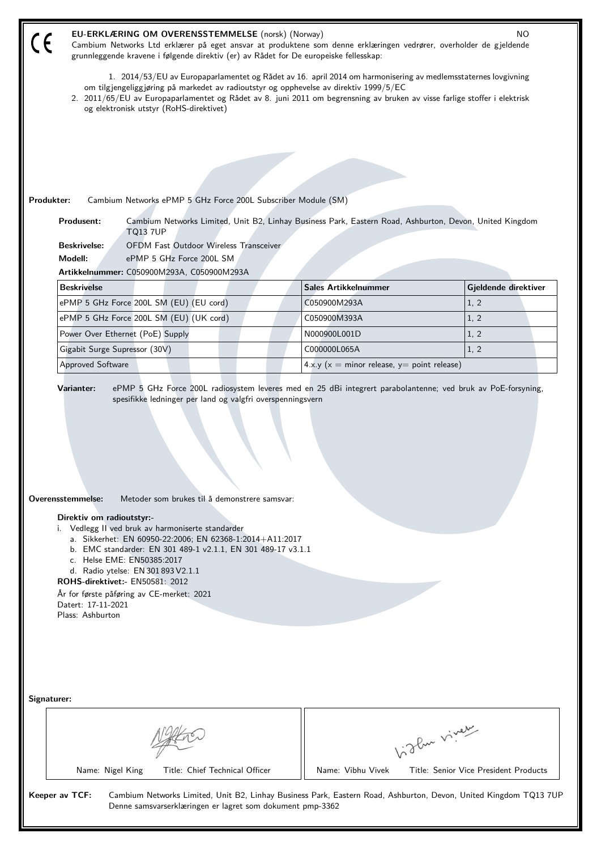| EU-ERKLÆRING OM OVERENSSTEMMELSE (norsk) (Norway)<br><b>NO</b><br>Cambium Networks Ltd erklærer på eget ansvar at produktene som denne erklæringen vedrører, overholder de gjeldende<br>grunnleggende kravene i følgende direktiv (er) av Rådet for De europeiske fellesskap:                                                                                                                                                                                                                        |                                                   |                      |  |  |  |
|------------------------------------------------------------------------------------------------------------------------------------------------------------------------------------------------------------------------------------------------------------------------------------------------------------------------------------------------------------------------------------------------------------------------------------------------------------------------------------------------------|---------------------------------------------------|----------------------|--|--|--|
| 1. 2014/53/EU av Europaparlamentet og Rådet av 16. april 2014 om harmonisering av medlemsstaternes lovgivning<br>om tilgjengeliggjøring på markedet av radioutstyr og opphevelse av direktiv 1999/5/EC<br>2. 2011/65/EU av Europaparlamentet og Rådet av 8. juni 2011 om begrensning av bruken av visse farlige stoffer i elektrisk                                                                                                                                                                  |                                                   |                      |  |  |  |
| og elektronisk utstyr (RoHS-direktivet)                                                                                                                                                                                                                                                                                                                                                                                                                                                              |                                                   |                      |  |  |  |
|                                                                                                                                                                                                                                                                                                                                                                                                                                                                                                      |                                                   |                      |  |  |  |
|                                                                                                                                                                                                                                                                                                                                                                                                                                                                                                      |                                                   |                      |  |  |  |
|                                                                                                                                                                                                                                                                                                                                                                                                                                                                                                      |                                                   |                      |  |  |  |
|                                                                                                                                                                                                                                                                                                                                                                                                                                                                                                      |                                                   |                      |  |  |  |
| Produkter:<br>Cambium Networks ePMP 5 GHz Force 200L Subscriber Module (SM)                                                                                                                                                                                                                                                                                                                                                                                                                          |                                                   |                      |  |  |  |
| Produsent:<br>Cambium Networks Limited, Unit B2, Linhay Business Park, Eastern Road, Ashburton, Devon, United Kingdom<br><b>TQ13 7UP</b>                                                                                                                                                                                                                                                                                                                                                             |                                                   |                      |  |  |  |
| <b>Beskrivelse:</b><br><b>OFDM Fast Outdoor Wireless Transceiver</b>                                                                                                                                                                                                                                                                                                                                                                                                                                 |                                                   |                      |  |  |  |
| Modell:<br>ePMP 5 GHz Force 200L SM                                                                                                                                                                                                                                                                                                                                                                                                                                                                  |                                                   |                      |  |  |  |
| Artikkelnummer: C050900M293A, C050900M293A                                                                                                                                                                                                                                                                                                                                                                                                                                                           |                                                   |                      |  |  |  |
| <b>Beskrivelse</b>                                                                                                                                                                                                                                                                                                                                                                                                                                                                                   | <b>Sales Artikkelnummer</b>                       | Gjeldende direktiver |  |  |  |
| ePMP 5 GHz Force 200L SM (EU) (EU cord)                                                                                                                                                                                                                                                                                                                                                                                                                                                              | C050900M293A                                      | 1, 2                 |  |  |  |
| ePMP 5 GHz Force 200L SM (EU) (UK cord)                                                                                                                                                                                                                                                                                                                                                                                                                                                              | C050900M393A                                      | 1, 2                 |  |  |  |
| Power Over Ethernet (PoE) Supply                                                                                                                                                                                                                                                                                                                                                                                                                                                                     | N000900L001D                                      | 1, 2                 |  |  |  |
| Gigabit Surge Supressor (30V)                                                                                                                                                                                                                                                                                                                                                                                                                                                                        | C000000L065A                                      | 1, 2                 |  |  |  |
| <b>Approved Software</b>                                                                                                                                                                                                                                                                                                                                                                                                                                                                             | 4.x.y ( $x =$ minor release, $y =$ point release) |                      |  |  |  |
| Overensstemmelse:<br>Metoder som brukes til å demonstrere samsvar:<br>Direktiv om radioutstyr:-<br>i. Vedlegg II ved bruk av harmoniserte standarder<br>a. Sikkerhet: EN 60950-22:2006; EN 62368-1:2014+A11:2017<br>b. EMC standarder: EN 301 489-1 v2.1.1, EN 301 489-17 v3.1.1<br>c. Helse EME: EN50385:2017<br>d. Radio ytelse: EN 301 893 V2.1.1<br><b>ROHS-direktivet:- EN50581: 2012</b><br>År for første påføring av CE-merket: 2021<br>Datert: 17-11-2021<br>Plass: Ashburton<br>Signaturer: |                                                   |                      |  |  |  |
|                                                                                                                                                                                                                                                                                                                                                                                                                                                                                                      |                                                   |                      |  |  |  |
|                                                                                                                                                                                                                                                                                                                                                                                                                                                                                                      | higher viney                                      |                      |  |  |  |
| Name: Nigel King<br>Title: Chief Technical Officer                                                                                                                                                                                                                                                                                                                                                                                                                                                   | Name: Vibhu Vivek                                 |                      |  |  |  |
| Title: Senior Vice President Products<br>Keeper av TCF:<br>Cambium Networks Limited, Unit B2, Linhay Business Park, Eastern Road, Ashburton, Devon, United Kingdom TQ13 7UP<br>Denne samsvarserklæringen er lagret som dokument pmp-3362                                                                                                                                                                                                                                                             |                                                   |                      |  |  |  |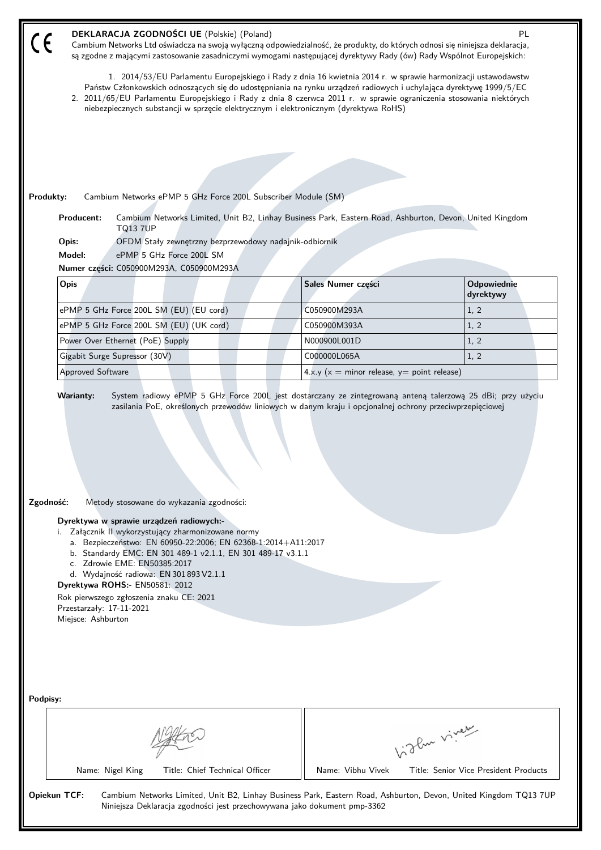| DEKLARACJA ZGODNOŚCI UE (Polskie) (Poland)<br>PL<br>Cambium Networks Ltd oświadcza na swoją wyłączną odpowiedzialność, że produkty, do których odnosi się niniejsza deklaracja,<br>są zgodne z mającymi zastosowanie zasadniczymi wymogami następującej dyrektywy Rady (ów) Rady Wspólnot Europejskich:                                                                                                                                           |                                               |                                       |  |  |  |
|---------------------------------------------------------------------------------------------------------------------------------------------------------------------------------------------------------------------------------------------------------------------------------------------------------------------------------------------------------------------------------------------------------------------------------------------------|-----------------------------------------------|---------------------------------------|--|--|--|
| 1. 2014/53/EU Parlamentu Europejskiego i Rady z dnia 16 kwietnia 2014 r. w sprawie harmonizacji ustawodawstw<br>Państw Członkowskich odnoszących się do udostępniania na rynku urządzeń radiowych i uchylająca dyrektywę 1999/5/EC<br>2. 2011/65/EU Parlamentu Europejskiego i Rady z dnia 8 czerwca 2011 r. w sprawie ograniczenia stosowania niektórych<br>niebezpiecznych substancji w sprzęcie elektrycznym i elektronicznym (dyrektywa RoHS) |                                               |                                       |  |  |  |
|                                                                                                                                                                                                                                                                                                                                                                                                                                                   |                                               |                                       |  |  |  |
|                                                                                                                                                                                                                                                                                                                                                                                                                                                   |                                               |                                       |  |  |  |
|                                                                                                                                                                                                                                                                                                                                                                                                                                                   |                                               |                                       |  |  |  |
| Cambium Networks ePMP 5 GHz Force 200L Subscriber Module (SM)<br>Produkty:                                                                                                                                                                                                                                                                                                                                                                        |                                               |                                       |  |  |  |
| Cambium Networks Limited, Unit B2, Linhay Business Park, Eastern Road, Ashburton, Devon, United Kingdom<br>Producent:<br><b>TQ13 7UP</b>                                                                                                                                                                                                                                                                                                          |                                               |                                       |  |  |  |
| OFDM Stały zewnętrzny bezprzewodowy nadajnik-odbiornik<br>Opis:                                                                                                                                                                                                                                                                                                                                                                                   |                                               |                                       |  |  |  |
| Model:<br>ePMP 5 GHz Force 200L SM                                                                                                                                                                                                                                                                                                                                                                                                                |                                               |                                       |  |  |  |
| Numer części: C050900M293A, C050900M293A                                                                                                                                                                                                                                                                                                                                                                                                          | Sales Numer części                            | Odpowiednie                           |  |  |  |
| Opis                                                                                                                                                                                                                                                                                                                                                                                                                                              |                                               | dyrektywy                             |  |  |  |
| ePMP 5 GHz Force 200L SM (EU) (EU cord)                                                                                                                                                                                                                                                                                                                                                                                                           | C050900M293A                                  | 1, 2                                  |  |  |  |
| ePMP 5 GHz Force 200L SM (EU) (UK cord)                                                                                                                                                                                                                                                                                                                                                                                                           | C050900M393A                                  | 1, 2                                  |  |  |  |
| Power Over Ethernet (PoE) Supply                                                                                                                                                                                                                                                                                                                                                                                                                  | N000900L001D                                  | 1, 2                                  |  |  |  |
| Gigabit Surge Supressor (30V)                                                                                                                                                                                                                                                                                                                                                                                                                     | C000000L065A                                  | 1, 2                                  |  |  |  |
| <b>Approved Software</b>                                                                                                                                                                                                                                                                                                                                                                                                                          | $4.x.y(x = minor release, y = point release)$ |                                       |  |  |  |
| Zgodność:<br>Metody stosowane do wykazania zgodności:<br>Dyrektywa w sprawie urządzeń radiowych:-<br>Załącznik II wykorzystujący zharmonizowane normy<br>i.                                                                                                                                                                                                                                                                                       |                                               |                                       |  |  |  |
| a. Bezpieczeństwo: EN 60950-22:2006; EN 62368-1:2014+A11:2017<br>b. Standardy EMC: EN 301 489-1 v2.1.1, EN 301 489-17 v3.1.1<br>c. Zdrowie EME: EN50385:2017<br>d. Wydajność radiowa: EN 301 893 V2.1.1<br>Dyrektywa ROHS:- EN50581: 2012<br>Rok pierwszego zgłoszenia znaku CE: 2021<br>Przestarzały: 17-11-2021<br>Miejsce: Ashburton                                                                                                           |                                               |                                       |  |  |  |
| Podpisy:                                                                                                                                                                                                                                                                                                                                                                                                                                          |                                               |                                       |  |  |  |
|                                                                                                                                                                                                                                                                                                                                                                                                                                                   |                                               | Light viver                           |  |  |  |
| Title: Chief Technical Officer<br>Name: Nigel King                                                                                                                                                                                                                                                                                                                                                                                                | Name: Vibhu Vivek                             | Title: Senior Vice President Products |  |  |  |
| <b>Opiekun TCF:</b><br>Cambium Networks Limited, Unit B2, Linhay Business Park, Eastern Road, Ashburton, Devon, United Kingdom TQ13 7UP<br>Niniejsza Deklaracja zgodności jest przechowywana jako dokument pmp-3362                                                                                                                                                                                                                               |                                               |                                       |  |  |  |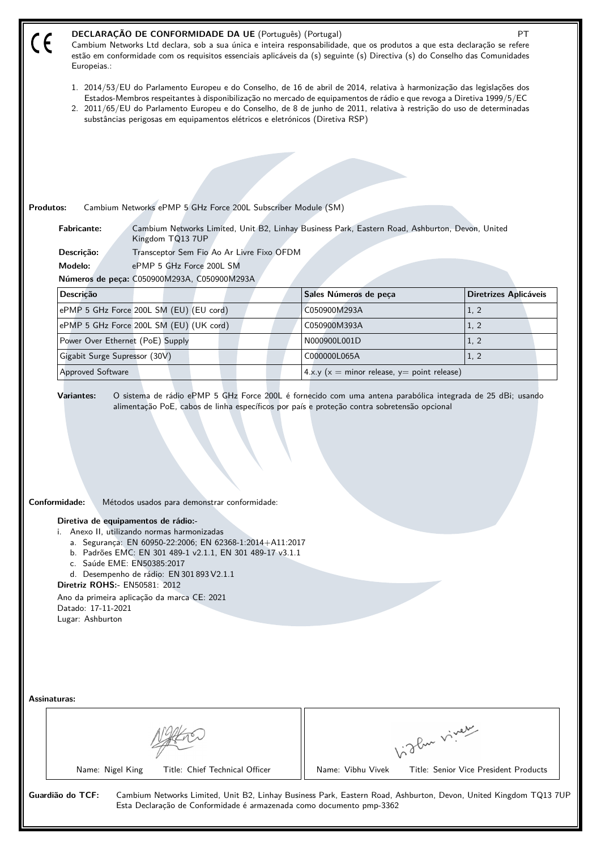|                                                                                                                                                                                                                                                                                                            | DECLARAÇÃO DE CONFORMIDADE DA UE (Português) (Portugal)<br><b>PT</b><br>Cambium Networks Ltd declara, sob a sua única e inteira responsabilidade, que os produtos a que esta declaração se refere<br>estão em conformidade com os requisitos essenciais aplicáveis da (s) seguinte (s) Directiva (s) do Conselho das Comunidades<br>Europeias.:                          |                                                                                                                                                                                          |  |                                                   |             |                                       |  |
|------------------------------------------------------------------------------------------------------------------------------------------------------------------------------------------------------------------------------------------------------------------------------------------------------------|--------------------------------------------------------------------------------------------------------------------------------------------------------------------------------------------------------------------------------------------------------------------------------------------------------------------------------------------------------------------------|------------------------------------------------------------------------------------------------------------------------------------------------------------------------------------------|--|---------------------------------------------------|-------------|---------------------------------------|--|
|                                                                                                                                                                                                                                                                                                            | 1. 2014/53/EU do Parlamento Europeu e do Conselho, de 16 de abril de 2014, relativa à harmonização das legislações dos<br>Estados-Membros respeitantes à disponibilização no mercado de equipamentos de rádio e que revoga a Diretiva 1999/5/EC<br>2. 2011/65/EU do Parlamento Europeu e do Conselho, de 8 de junho de 2011, relativa à restrição do uso de determinadas |                                                                                                                                                                                          |  |                                                   |             |                                       |  |
|                                                                                                                                                                                                                                                                                                            |                                                                                                                                                                                                                                                                                                                                                                          | substâncias perigosas em equipamentos elétricos e eletrónicos (Diretiva RSP)                                                                                                             |  |                                                   |             |                                       |  |
|                                                                                                                                                                                                                                                                                                            |                                                                                                                                                                                                                                                                                                                                                                          |                                                                                                                                                                                          |  |                                                   |             |                                       |  |
|                                                                                                                                                                                                                                                                                                            |                                                                                                                                                                                                                                                                                                                                                                          |                                                                                                                                                                                          |  |                                                   |             |                                       |  |
|                                                                                                                                                                                                                                                                                                            |                                                                                                                                                                                                                                                                                                                                                                          |                                                                                                                                                                                          |  |                                                   |             |                                       |  |
|                                                                                                                                                                                                                                                                                                            |                                                                                                                                                                                                                                                                                                                                                                          |                                                                                                                                                                                          |  |                                                   |             |                                       |  |
| Produtos:                                                                                                                                                                                                                                                                                                  | <b>Fabricante:</b>                                                                                                                                                                                                                                                                                                                                                       | Cambium Networks ePMP 5 GHz Force 200L Subscriber Module (SM)<br>Cambium Networks Limited, Unit B2, Linhay Business Park, Eastern Road, Ashburton, Devon, United                         |  |                                                   |             |                                       |  |
|                                                                                                                                                                                                                                                                                                            | Descrição:                                                                                                                                                                                                                                                                                                                                                               | Kingdom TQ13 7UP<br>Transceptor Sem Fio Ao Ar Livre Fixo OFDM                                                                                                                            |  |                                                   |             |                                       |  |
|                                                                                                                                                                                                                                                                                                            | Modelo:                                                                                                                                                                                                                                                                                                                                                                  | ePMP 5 GHz Force 200L SM                                                                                                                                                                 |  |                                                   |             |                                       |  |
|                                                                                                                                                                                                                                                                                                            |                                                                                                                                                                                                                                                                                                                                                                          | Números de peça: C050900M293A, C050900M293A                                                                                                                                              |  |                                                   |             |                                       |  |
|                                                                                                                                                                                                                                                                                                            | Descrição                                                                                                                                                                                                                                                                                                                                                                |                                                                                                                                                                                          |  | Sales Números de peça                             |             | Diretrizes Aplicáveis                 |  |
|                                                                                                                                                                                                                                                                                                            |                                                                                                                                                                                                                                                                                                                                                                          | ePMP 5 GHz Force 200L SM (EU) (EU cord)                                                                                                                                                  |  | C050900M293A                                      |             | 1, 2                                  |  |
|                                                                                                                                                                                                                                                                                                            |                                                                                                                                                                                                                                                                                                                                                                          | ePMP 5 GHz Force 200L SM (EU) (UK cord)                                                                                                                                                  |  | C050900M393A                                      |             | 1, 2                                  |  |
|                                                                                                                                                                                                                                                                                                            | Power Over Ethernet (PoE) Supply                                                                                                                                                                                                                                                                                                                                         |                                                                                                                                                                                          |  | N000900L001D                                      |             | 1, 2                                  |  |
|                                                                                                                                                                                                                                                                                                            | Gigabit Surge Supressor (30V)                                                                                                                                                                                                                                                                                                                                            |                                                                                                                                                                                          |  | C000000L065A                                      |             | 1, 2                                  |  |
|                                                                                                                                                                                                                                                                                                            | Approved Software                                                                                                                                                                                                                                                                                                                                                        |                                                                                                                                                                                          |  | 4.x.y ( $x =$ minor release, $y =$ point release) |             |                                       |  |
| Conformidade:<br>Métodos usados para demonstrar conformidade:<br>Diretiva de equipamentos de rádio:-<br>i. Anexo II, utilizando normas harmonizadas<br>a. Segurança: EN 60950-22:2006; EN 62368-1:2014+A11:2017<br>b. Padrões EMC: EN 301 489-1 v2.1.1, EN 301 489-17 v3.1.1<br>c. Saúde EME: EN50385:2017 |                                                                                                                                                                                                                                                                                                                                                                          |                                                                                                                                                                                          |  |                                                   |             |                                       |  |
|                                                                                                                                                                                                                                                                                                            | <b>Diretriz ROHS:- EN50581: 2012</b>                                                                                                                                                                                                                                                                                                                                     | d. Desempenho de rádio: EN 301 893 V2.1.1                                                                                                                                                |  |                                                   |             |                                       |  |
|                                                                                                                                                                                                                                                                                                            | Datado: 17-11-2021                                                                                                                                                                                                                                                                                                                                                       | Ano da primeira aplicação da marca CE: 2021                                                                                                                                              |  |                                                   |             |                                       |  |
|                                                                                                                                                                                                                                                                                                            | Lugar: Ashburton                                                                                                                                                                                                                                                                                                                                                         |                                                                                                                                                                                          |  |                                                   |             |                                       |  |
| <b>Assinaturas:</b>                                                                                                                                                                                                                                                                                        |                                                                                                                                                                                                                                                                                                                                                                          |                                                                                                                                                                                          |  |                                                   |             |                                       |  |
|                                                                                                                                                                                                                                                                                                            |                                                                                                                                                                                                                                                                                                                                                                          |                                                                                                                                                                                          |  |                                                   |             |                                       |  |
|                                                                                                                                                                                                                                                                                                            |                                                                                                                                                                                                                                                                                                                                                                          |                                                                                                                                                                                          |  |                                                   | Light vivey |                                       |  |
|                                                                                                                                                                                                                                                                                                            | Name: Nigel King                                                                                                                                                                                                                                                                                                                                                         | Title: Chief Technical Officer                                                                                                                                                           |  | Name: Vibhu Vivek                                 |             | Title: Senior Vice President Products |  |
|                                                                                                                                                                                                                                                                                                            | Guardião do TCF:                                                                                                                                                                                                                                                                                                                                                         | Cambium Networks Limited, Unit B2, Linhay Business Park, Eastern Road, Ashburton, Devon, United Kingdom TQ13 7UP<br>Esta Declaração de Conformidade é armazenada como documento pmp-3362 |  |                                                   |             |                                       |  |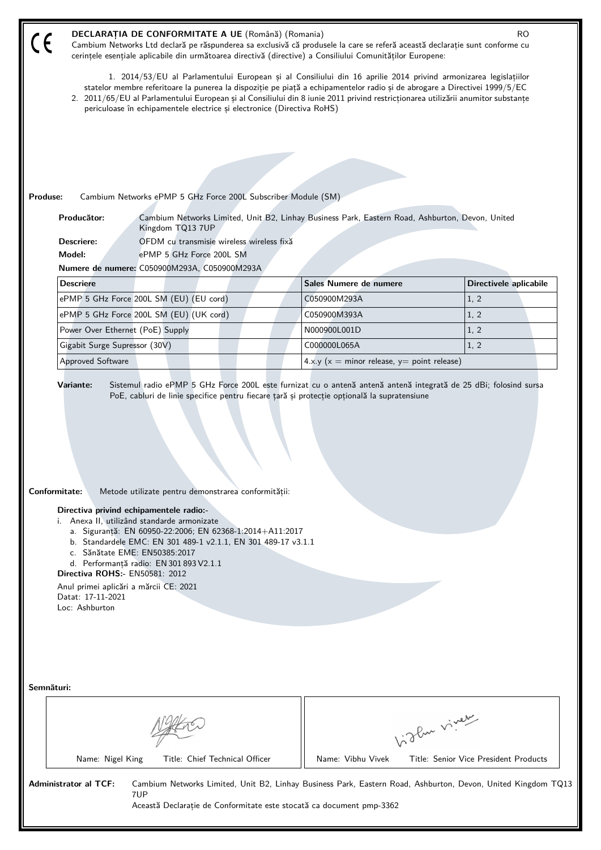| $\zeta$                                                                                                                                                                                                                                                                                                                                                                                                                                                                                           | DECLARAȚIA DE CONFORMITATE A UE (Română) (Romania)<br><b>RO</b><br>Cambium Networks Ltd declară pe răspunderea sa exclusivă că produsele la care se referă această declarație sunt conforme cu<br>cerințele esențiale aplicabile din următoarea directivă (directive) a Consiliului Comunităților Europene:                                                                                                                                                 |                                                   |                                                                                                              |  |  |  |
|---------------------------------------------------------------------------------------------------------------------------------------------------------------------------------------------------------------------------------------------------------------------------------------------------------------------------------------------------------------------------------------------------------------------------------------------------------------------------------------------------|-------------------------------------------------------------------------------------------------------------------------------------------------------------------------------------------------------------------------------------------------------------------------------------------------------------------------------------------------------------------------------------------------------------------------------------------------------------|---------------------------------------------------|--------------------------------------------------------------------------------------------------------------|--|--|--|
|                                                                                                                                                                                                                                                                                                                                                                                                                                                                                                   | 1. 2014/53/EU al Parlamentului European și al Consiliului din 16 aprilie 2014 privind armonizarea legislațiilor<br>statelor membre referitoare la punerea la dispoziție pe piață a echipamentelor radio și de abrogare a Directivei 1999/5/EC<br>2. 2011/65/EU al Parlamentului European și al Consiliului din 8 iunie 2011 privind restricționarea utilizării anumitor substanțe<br>periculoase în echipamentele electrice și electronice (Directiva RoHS) |                                                   |                                                                                                              |  |  |  |
|                                                                                                                                                                                                                                                                                                                                                                                                                                                                                                   |                                                                                                                                                                                                                                                                                                                                                                                                                                                             |                                                   |                                                                                                              |  |  |  |
|                                                                                                                                                                                                                                                                                                                                                                                                                                                                                                   | Produse:<br>Cambium Networks ePMP 5 GHz Force 200L Subscriber Module (SM)                                                                                                                                                                                                                                                                                                                                                                                   |                                                   |                                                                                                              |  |  |  |
|                                                                                                                                                                                                                                                                                                                                                                                                                                                                                                   | Producător:<br>Cambium Networks Limited, Unit B2, Linhay Business Park, Eastern Road, Ashburton, Devon, United                                                                                                                                                                                                                                                                                                                                              |                                                   |                                                                                                              |  |  |  |
|                                                                                                                                                                                                                                                                                                                                                                                                                                                                                                   | Kingdom TQ13 7UP<br>Descriere:<br>OFDM cu transmisie wireless wireless fixă                                                                                                                                                                                                                                                                                                                                                                                 |                                                   |                                                                                                              |  |  |  |
|                                                                                                                                                                                                                                                                                                                                                                                                                                                                                                   | Model:<br>ePMP 5 GHz Force 200L SM                                                                                                                                                                                                                                                                                                                                                                                                                          |                                                   |                                                                                                              |  |  |  |
|                                                                                                                                                                                                                                                                                                                                                                                                                                                                                                   | Numere de numere: C050900M293A, C050900M293A                                                                                                                                                                                                                                                                                                                                                                                                                |                                                   |                                                                                                              |  |  |  |
|                                                                                                                                                                                                                                                                                                                                                                                                                                                                                                   | <b>Descriere</b>                                                                                                                                                                                                                                                                                                                                                                                                                                            | Sales Numere de numere                            | Directivele aplicabile                                                                                       |  |  |  |
|                                                                                                                                                                                                                                                                                                                                                                                                                                                                                                   | ePMP 5 GHz Force 200L SM (EU) (EU cord)                                                                                                                                                                                                                                                                                                                                                                                                                     | C050900M293A                                      | 1, 2                                                                                                         |  |  |  |
|                                                                                                                                                                                                                                                                                                                                                                                                                                                                                                   | ePMP 5 GHz Force 200L SM (EU) (UK cord)                                                                                                                                                                                                                                                                                                                                                                                                                     | C050900M393A                                      | 1, 2                                                                                                         |  |  |  |
|                                                                                                                                                                                                                                                                                                                                                                                                                                                                                                   | Power Over Ethernet (PoE) Supply                                                                                                                                                                                                                                                                                                                                                                                                                            | N000900L001D                                      | 1, 2                                                                                                         |  |  |  |
|                                                                                                                                                                                                                                                                                                                                                                                                                                                                                                   | Gigabit Surge Supressor (30V)                                                                                                                                                                                                                                                                                                                                                                                                                               | C000000L065A                                      | 1, 2                                                                                                         |  |  |  |
|                                                                                                                                                                                                                                                                                                                                                                                                                                                                                                   | <b>Approved Software</b>                                                                                                                                                                                                                                                                                                                                                                                                                                    | 4.x.y ( $x =$ minor release, $y =$ point release) |                                                                                                              |  |  |  |
| Conformitate:<br>Metode utilizate pentru demonstrarea conformității:<br>Directiva privind echipamentele radio:-<br>i. Anexa II, utilizând standarde armonizate<br>a. Siguranță: EN 60950-22:2006; EN 62368-1:2014+A11:2017<br>b. Standardele EMC: EN 301 489-1 v2.1.1, EN 301 489-17 v3.1.1<br>c. Sănătate EME: EN50385:2017<br>d. Performanță radio: EN 301 893 V2.1.1<br><b>Directiva ROHS:- EN50581: 2012</b><br>Anul primei aplicări a mărcii CE: 2021<br>Datat: 17-11-2021<br>Loc: Ashburton |                                                                                                                                                                                                                                                                                                                                                                                                                                                             |                                                   |                                                                                                              |  |  |  |
| Semnături:                                                                                                                                                                                                                                                                                                                                                                                                                                                                                        |                                                                                                                                                                                                                                                                                                                                                                                                                                                             |                                                   |                                                                                                              |  |  |  |
|                                                                                                                                                                                                                                                                                                                                                                                                                                                                                                   |                                                                                                                                                                                                                                                                                                                                                                                                                                                             |                                                   | Vidley vivey                                                                                                 |  |  |  |
|                                                                                                                                                                                                                                                                                                                                                                                                                                                                                                   | Name: Nigel King<br>Title: Chief Technical Officer                                                                                                                                                                                                                                                                                                                                                                                                          | Name: Vibhu Vivek                                 | Title: Senior Vice President Products                                                                        |  |  |  |
|                                                                                                                                                                                                                                                                                                                                                                                                                                                                                                   | <b>Administrator al TCF:</b><br>7UP<br>Această Declarație de Conformitate este stocată ca document pmp-3362                                                                                                                                                                                                                                                                                                                                                 |                                                   | Cambium Networks Limited, Unit B2, Linhay Business Park, Eastern Road, Ashburton, Devon, United Kingdom TQ13 |  |  |  |
|                                                                                                                                                                                                                                                                                                                                                                                                                                                                                                   |                                                                                                                                                                                                                                                                                                                                                                                                                                                             |                                                   |                                                                                                              |  |  |  |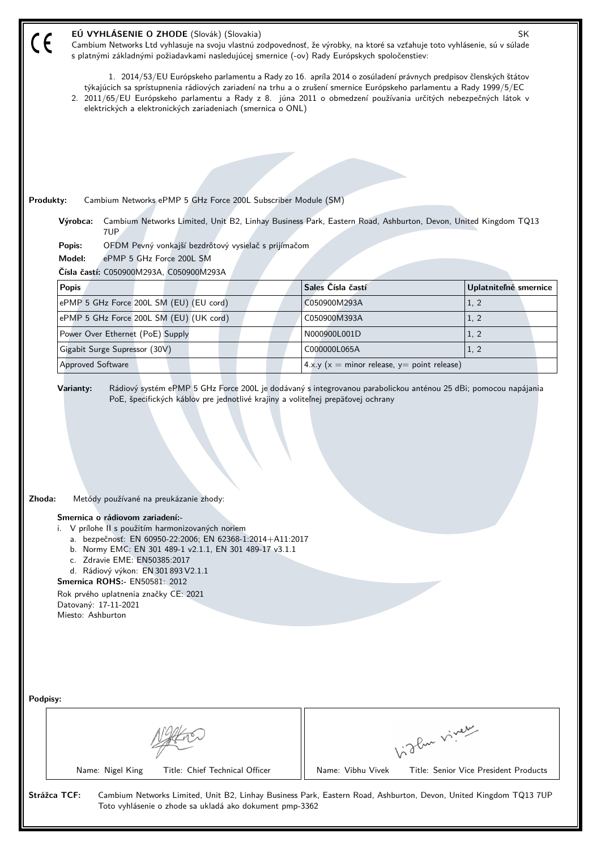| EÚ VYHLÁSENIE O ZHODE (Slovák) (Slovakia)<br>SK<br>Cambium Networks Ltd vyhlasuje na svoju vlastnú zodpovednosť, že výrobky, na ktoré sa vzťahuje toto vyhlásenie, sú v súlade<br>s platnými základnými požiadavkami nasledujúcej smernice (-ov) Rady Európskych spoločenstiev:                                                                                                                                        |                                                   |                                       |  |  |  |
|------------------------------------------------------------------------------------------------------------------------------------------------------------------------------------------------------------------------------------------------------------------------------------------------------------------------------------------------------------------------------------------------------------------------|---------------------------------------------------|---------------------------------------|--|--|--|
| 1. 2014/53/EU Európskeho parlamentu a Rady zo 16. apríla 2014 o zosúladení právnych predpisov členských štátov<br>týkajúcich sa sprístupnenia rádiových zariadení na trhu a o zrušení smernice Európskeho parlamentu a Rady 1999/5/EC<br>2. 2011/65/EU Európskeho parlamentu a Rady z 8. júna 2011 o obmedzení používania určitých nebezpečných látok v<br>elektrických a elektronických zariadeniach (smernica o ONL) |                                                   |                                       |  |  |  |
|                                                                                                                                                                                                                                                                                                                                                                                                                        |                                                   |                                       |  |  |  |
|                                                                                                                                                                                                                                                                                                                                                                                                                        |                                                   |                                       |  |  |  |
|                                                                                                                                                                                                                                                                                                                                                                                                                        |                                                   |                                       |  |  |  |
|                                                                                                                                                                                                                                                                                                                                                                                                                        |                                                   |                                       |  |  |  |
| Produkty:<br>Cambium Networks ePMP 5 GHz Force 200L Subscriber Module (SM)<br>Cambium Networks Limited, Unit B2, Linhay Business Park, Eastern Road, Ashburton, Devon, United Kingdom TQ13<br>Výrobca:                                                                                                                                                                                                                 |                                                   |                                       |  |  |  |
| 7UP<br>OFDM Pevný vonkajší bezdrôtový vysielač s prijímačom<br>Popis:                                                                                                                                                                                                                                                                                                                                                  |                                                   |                                       |  |  |  |
| Model:<br>ePMP 5 GHz Force 200L SM                                                                                                                                                                                                                                                                                                                                                                                     |                                                   |                                       |  |  |  |
| Čísla častí: C050900M293A, C050900M293A                                                                                                                                                                                                                                                                                                                                                                                |                                                   |                                       |  |  |  |
| <b>Popis</b>                                                                                                                                                                                                                                                                                                                                                                                                           | Sales Čísla častí                                 | Uplatniteľné smernice                 |  |  |  |
| ePMP 5 GHz Force 200L SM (EU) (EU cord)                                                                                                                                                                                                                                                                                                                                                                                | C050900M293A                                      | 1, 2                                  |  |  |  |
| ePMP 5 GHz Force 200L SM (EU) (UK cord)                                                                                                                                                                                                                                                                                                                                                                                | C050900M393A                                      | 1, 2                                  |  |  |  |
| Power Over Ethernet (PoE) Supply                                                                                                                                                                                                                                                                                                                                                                                       | N000900L001D                                      | 1, 2                                  |  |  |  |
| Gigabit Surge Supressor (30V)                                                                                                                                                                                                                                                                                                                                                                                          | C000000L065A                                      | 1, 2                                  |  |  |  |
| Approved Software                                                                                                                                                                                                                                                                                                                                                                                                      | 4.x.y ( $x =$ minor release, $y =$ point release) |                                       |  |  |  |
|                                                                                                                                                                                                                                                                                                                                                                                                                        |                                                   |                                       |  |  |  |
| Zhoda:<br>Metódy používané na preukázanie zhody:                                                                                                                                                                                                                                                                                                                                                                       |                                                   |                                       |  |  |  |
| Smernica o rádiovom zariadení:-<br>i. V prílohe II s použitím harmonizovaných noriem<br>a. bezpečnosť: EN 60950-22:2006; EN 62368-1:2014+A11:2017<br>b. Normy EMC: EN 301 489-1 v2.1.1, EN 301 489-17 v3.1.1<br>c. Zdravie EME: EN50385:2017<br>d. Rádiový výkon: EN 301 893 V2.1.1<br><b>Smernica ROHS: EN50581: 2012</b><br>Rok prvého uplatnenia značky CE: 2021<br>Datovaný: 17-11-2021<br>Miesto: Ashburton       |                                                   |                                       |  |  |  |
| Podpisy:                                                                                                                                                                                                                                                                                                                                                                                                               |                                                   |                                       |  |  |  |
|                                                                                                                                                                                                                                                                                                                                                                                                                        | birthe vivey                                      |                                       |  |  |  |
| Name: Nigel King<br>Title: Chief Technical Officer                                                                                                                                                                                                                                                                                                                                                                     | Name: Vibhu Vivek                                 | Title: Senior Vice President Products |  |  |  |
| Strážca TCF:<br>Cambium Networks Limited, Unit B2, Linhay Business Park, Eastern Road, Ashburton, Devon, United Kingdom TQ13 7UP<br>Toto vyhlásenie o zhode sa ukladá ako dokument pmp-3362                                                                                                                                                                                                                            |                                                   |                                       |  |  |  |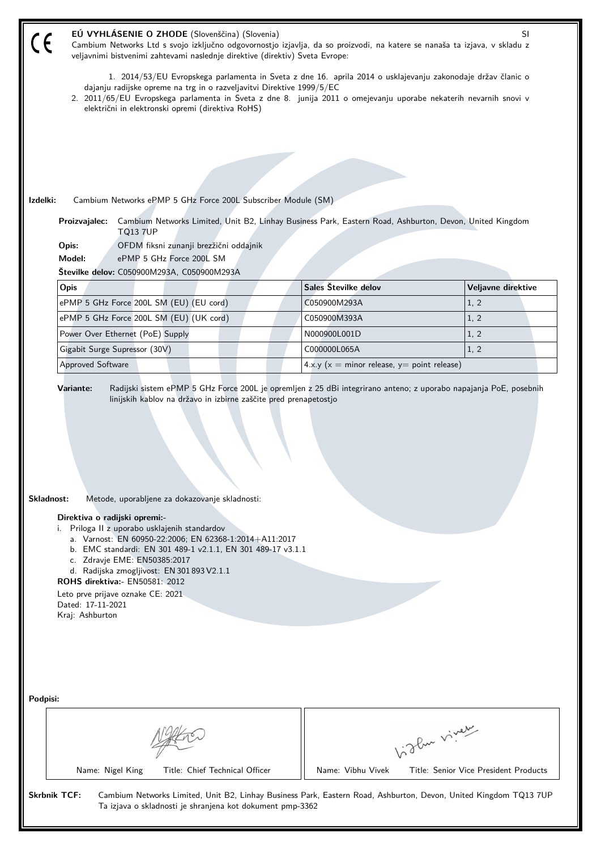| dajanju radijske opreme na trg in o razveljavitvi Direktive 1999/5/EC<br>električni in elektronski opremi (direktiva RoHS)                                                                                                                                                                                                                                                                                                                                                    |                                                                                                                                                                                                                                  |  |  |  |  |  |
|-------------------------------------------------------------------------------------------------------------------------------------------------------------------------------------------------------------------------------------------------------------------------------------------------------------------------------------------------------------------------------------------------------------------------------------------------------------------------------|----------------------------------------------------------------------------------------------------------------------------------------------------------------------------------------------------------------------------------|--|--|--|--|--|
|                                                                                                                                                                                                                                                                                                                                                                                                                                                                               | 1. 2014/53/EU Evropskega parlamenta in Sveta z dne 16. aprila 2014 o usklajevanju zakonodaje držav članic o<br>2. 2011/65/EU Evropskega parlamenta in Sveta z dne 8. junija 2011 o omejevanju uporabe nekaterih nevarnih snovi v |  |  |  |  |  |
|                                                                                                                                                                                                                                                                                                                                                                                                                                                                               |                                                                                                                                                                                                                                  |  |  |  |  |  |
|                                                                                                                                                                                                                                                                                                                                                                                                                                                                               |                                                                                                                                                                                                                                  |  |  |  |  |  |
|                                                                                                                                                                                                                                                                                                                                                                                                                                                                               |                                                                                                                                                                                                                                  |  |  |  |  |  |
|                                                                                                                                                                                                                                                                                                                                                                                                                                                                               |                                                                                                                                                                                                                                  |  |  |  |  |  |
| Izdelki:<br>Cambium Networks ePMP 5 GHz Force 200L Subscriber Module (SM)                                                                                                                                                                                                                                                                                                                                                                                                     |                                                                                                                                                                                                                                  |  |  |  |  |  |
| Cambium Networks Limited, Unit B2, Linhay Business Park, Eastern Road, Ashburton, Devon, United Kingdom<br>Proizvajalec:<br><b>TQ13 7UP</b>                                                                                                                                                                                                                                                                                                                                   |                                                                                                                                                                                                                                  |  |  |  |  |  |
| OFDM fiksni zunanji brezžični oddajnik<br>Opis:                                                                                                                                                                                                                                                                                                                                                                                                                               |                                                                                                                                                                                                                                  |  |  |  |  |  |
| Model:<br>ePMP 5 GHz Force 200L SM<br>Številke delov: C050900M293A, C050900M293A                                                                                                                                                                                                                                                                                                                                                                                              |                                                                                                                                                                                                                                  |  |  |  |  |  |
| Sales Številke delov<br>Opis                                                                                                                                                                                                                                                                                                                                                                                                                                                  | Veljavne direktive                                                                                                                                                                                                               |  |  |  |  |  |
| ePMP 5 GHz Force 200L SM (EU) (EU cord)<br>C050900M293A<br>1, 2                                                                                                                                                                                                                                                                                                                                                                                                               |                                                                                                                                                                                                                                  |  |  |  |  |  |
| ePMP 5 GHz Force 200L SM (EU) (UK cord)<br>1, 2<br>C050900M393A                                                                                                                                                                                                                                                                                                                                                                                                               |                                                                                                                                                                                                                                  |  |  |  |  |  |
| Power Over Ethernet (PoE) Supply<br>N000900L001D<br>1, 2                                                                                                                                                                                                                                                                                                                                                                                                                      |                                                                                                                                                                                                                                  |  |  |  |  |  |
| Gigabit Surge Supressor (30V)<br>1, 2<br>C000000L065A                                                                                                                                                                                                                                                                                                                                                                                                                         |                                                                                                                                                                                                                                  |  |  |  |  |  |
| <b>Approved Software</b><br>4.x.y ( $x =$ minor release, $y =$ point release)                                                                                                                                                                                                                                                                                                                                                                                                 |                                                                                                                                                                                                                                  |  |  |  |  |  |
| Skladnost:<br>Metode, uporabljene za dokazovanje skladnosti:<br>Direktiva o radijski opremi:-<br>Priloga II z uporabo usklajenih standardov<br>i.<br>a. Varnost: EN 60950-22:2006; EN 62368-1:2014+A11:2017<br>b. EMC standardi: EN 301 489-1 v2.1.1, EN 301 489-17 v3.1.1<br>c. Zdravie EME: EN50385:2017<br>d. Radijska zmogljivost: EN 301 893 V2.1.1<br><b>ROHS direktiva:</b> EN50581: 2012<br>Leto prve prijave oznake CE: 2021<br>Dated: 17-11-2021<br>Kraj: Ashburton |                                                                                                                                                                                                                                  |  |  |  |  |  |
| Podpisi:<br>Vidley vivey<br>Title: Chief Technical Officer<br>Name: Vibhu Vivek<br>Name: Nigel King<br>Title: Senior Vice President Products                                                                                                                                                                                                                                                                                                                                  |                                                                                                                                                                                                                                  |  |  |  |  |  |
| <b>Skrbnik TCF:</b><br>Cambium Networks Limited, Unit B2, Linhay Business Park, Eastern Road, Ashburton, Devon, United Kingdom TQ13 7UP<br>Ta izjava o skladnosti je shranjena kot dokument pmp-3362                                                                                                                                                                                                                                                                          |                                                                                                                                                                                                                                  |  |  |  |  |  |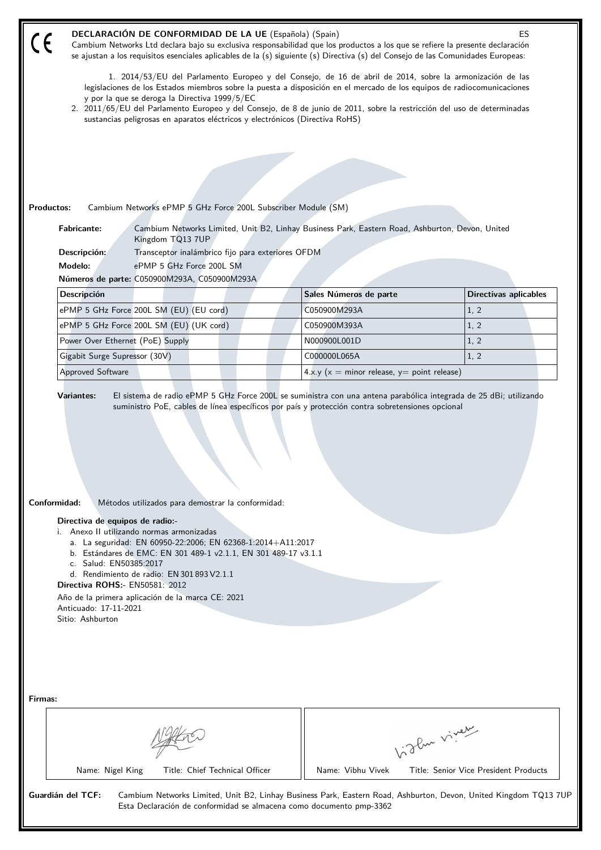|                    | <b>DECLARACIÓN DE CONFORMIDAD DE LA UE</b> (Española) (Spain)<br>ES<br>Cambium Networks Ltd declara bajo su exclusiva responsabilidad que los productos a los que se refiere la presente declaración<br>se ajustan a los requisitos esenciales aplicables de la (s) siguiente (s) Directiva (s) del Consejo de las Comunidades Europeas:                                                                                                                                                        |                                                                                                                                                                                                                                   |  |                                               |            |                                                                                                                  |
|--------------------|-------------------------------------------------------------------------------------------------------------------------------------------------------------------------------------------------------------------------------------------------------------------------------------------------------------------------------------------------------------------------------------------------------------------------------------------------------------------------------------------------|-----------------------------------------------------------------------------------------------------------------------------------------------------------------------------------------------------------------------------------|--|-----------------------------------------------|------------|------------------------------------------------------------------------------------------------------------------|
|                    | 1. 2014/53/EU del Parlamento Europeo y del Consejo, de 16 de abril de 2014, sobre la armonización de las<br>legislaciones de los Estados miembros sobre la puesta a disposición en el mercado de los equipos de radiocomunicaciones<br>y por la que se deroga la Directiva 1999/5/EC<br>2. 2011/65/EU del Parlamento Europeo y del Consejo, de 8 de junio de 2011, sobre la restricción del uso de determinadas<br>sustancias peligrosas en aparatos eléctricos y electrónicos (Directiva RoHS) |                                                                                                                                                                                                                                   |  |                                               |            |                                                                                                                  |
|                    |                                                                                                                                                                                                                                                                                                                                                                                                                                                                                                 |                                                                                                                                                                                                                                   |  |                                               |            |                                                                                                                  |
|                    |                                                                                                                                                                                                                                                                                                                                                                                                                                                                                                 |                                                                                                                                                                                                                                   |  |                                               |            |                                                                                                                  |
|                    |                                                                                                                                                                                                                                                                                                                                                                                                                                                                                                 |                                                                                                                                                                                                                                   |  |                                               |            |                                                                                                                  |
|                    |                                                                                                                                                                                                                                                                                                                                                                                                                                                                                                 |                                                                                                                                                                                                                                   |  |                                               |            |                                                                                                                  |
| <b>Productos:</b>  |                                                                                                                                                                                                                                                                                                                                                                                                                                                                                                 | Cambium Networks ePMP 5 GHz Force 200L Subscriber Module (SM)                                                                                                                                                                     |  |                                               |            |                                                                                                                  |
| <b>Fabricante:</b> |                                                                                                                                                                                                                                                                                                                                                                                                                                                                                                 | Cambium Networks Limited, Unit B2, Linhay Business Park, Eastern Road, Ashburton, Devon, United<br>Kingdom TQ13 7UP                                                                                                               |  |                                               |            |                                                                                                                  |
| Descripción:       |                                                                                                                                                                                                                                                                                                                                                                                                                                                                                                 | Transceptor inalámbrico fijo para exteriores OFDM                                                                                                                                                                                 |  |                                               |            |                                                                                                                  |
| Modelo:            |                                                                                                                                                                                                                                                                                                                                                                                                                                                                                                 | ePMP 5 GHz Force 200L SM<br>Números de parte: C050900M293A, C050900M293A                                                                                                                                                          |  |                                               |            |                                                                                                                  |
| <b>Descripción</b> |                                                                                                                                                                                                                                                                                                                                                                                                                                                                                                 |                                                                                                                                                                                                                                   |  | Sales Números de parte                        |            | <b>Directivas aplicables</b>                                                                                     |
|                    |                                                                                                                                                                                                                                                                                                                                                                                                                                                                                                 | ePMP 5 GHz Force 200L SM (EU) (EU cord)                                                                                                                                                                                           |  | C050900M293A                                  |            | 1, 2                                                                                                             |
|                    |                                                                                                                                                                                                                                                                                                                                                                                                                                                                                                 | ePMP 5 GHz Force 200L SM (EU) (UK cord)                                                                                                                                                                                           |  | C050900M393A                                  |            | 1, 2                                                                                                             |
|                    | Power Over Ethernet (PoE) Supply                                                                                                                                                                                                                                                                                                                                                                                                                                                                |                                                                                                                                                                                                                                   |  | N000900L001D                                  |            | 1, 2                                                                                                             |
|                    | Gigabit Surge Supressor (30V)                                                                                                                                                                                                                                                                                                                                                                                                                                                                   |                                                                                                                                                                                                                                   |  | C000000L065A                                  |            | 1, 2                                                                                                             |
|                    | <b>Approved Software</b>                                                                                                                                                                                                                                                                                                                                                                                                                                                                        |                                                                                                                                                                                                                                   |  | $4.x.y(x = minor release, y = point release)$ |            |                                                                                                                  |
|                    |                                                                                                                                                                                                                                                                                                                                                                                                                                                                                                 |                                                                                                                                                                                                                                   |  |                                               |            |                                                                                                                  |
| Conformidad:       |                                                                                                                                                                                                                                                                                                                                                                                                                                                                                                 | Métodos utilizados para demostrar la conformidad:                                                                                                                                                                                 |  |                                               |            |                                                                                                                  |
|                    | Directiva de equipos de radio:-<br>i. Anexo II utilizando normas armonizadas<br>c. Salud: EN50385:2017<br><b>Directiva ROHS:- EN50581: 2012</b><br>Anticuado: 17-11-2021<br>Sitio: Ashburton                                                                                                                                                                                                                                                                                                    | a. La seguridad: EN 60950-22:2006; EN 62368-1:2014+A11:2017<br>b. Estándares de EMC: EN 301 489-1 v2.1.1, EN 301 489-17 v3.1.1<br>d. Rendimiento de radio: EN 301 893 V2.1.1<br>Año de la primera aplicación de la marca CE: 2021 |  |                                               |            |                                                                                                                  |
| Firmas:            |                                                                                                                                                                                                                                                                                                                                                                                                                                                                                                 |                                                                                                                                                                                                                                   |  |                                               | Like viney |                                                                                                                  |
|                    | Name: Nigel King                                                                                                                                                                                                                                                                                                                                                                                                                                                                                | Title: Chief Technical Officer                                                                                                                                                                                                    |  | Name: Vibhu Vivek                             |            | Title: Senior Vice President Products                                                                            |
| Guardián del TCF:  |                                                                                                                                                                                                                                                                                                                                                                                                                                                                                                 | Esta Declaración de conformidad se almacena como documento pmp-3362                                                                                                                                                               |  |                                               |            | Cambium Networks Limited, Unit B2, Linhay Business Park, Eastern Road, Ashburton, Devon, United Kingdom TQ13 7UF |